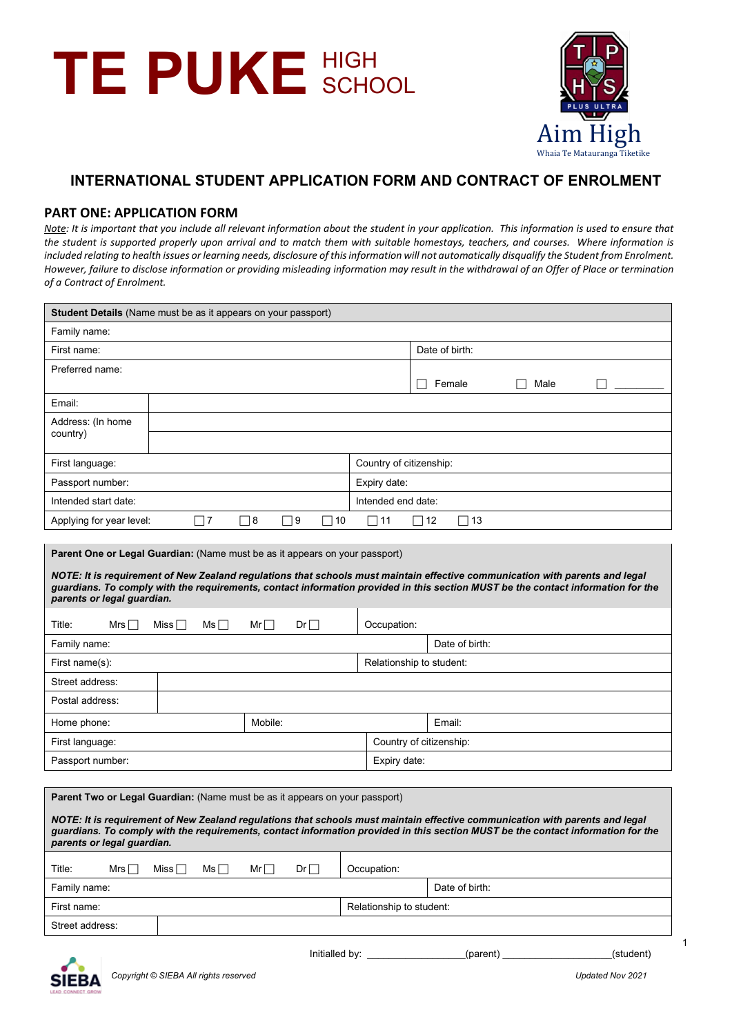# TE PUKE SCHOOL



# **INTERNATIONAL STUDENT APPLICATION FORM AND CONTRACT OF ENROLMENT**

# **PART ONE: APPLICATION FORM**

*Note: It is important that you include all relevant information about the student in your application. This information is used to ensure that the student is supported properly upon arrival and to match them with suitable homestays, teachers, and courses. Where information is included relating to health issues or learning needs, disclosure of thisinformation will not automatically disqualify the Student from Enrolment. However, failure to disclose information or providing misleading information may result in the withdrawal of an Offer of Place or termination of a Contract of Enrolment.* 

| Family name:<br>First name:<br>Date of birth:<br>Preferred name:<br>Female<br>Male<br>Email:<br>Address: (In home<br>country)<br>First language:<br>Country of citizenship:<br>Passport number:<br>Expiry date:<br>Intended start date:<br>Intended end date:<br>$\Box$ 7<br>$\Box$ 8<br>$\Box$ 9<br>$\Box$ 10<br>$\square$ 11<br>$\Box$ 12<br>$\Box$ 13<br>Applying for year level:<br>Parent One or Legal Guardian: (Name must be as it appears on your passport)<br>NOTE: It is requirement of New Zealand regulations that schools must maintain effective communication with parents and legal<br>guardians. To comply with the requirements, contact information provided in this section MUST be the contact information for the<br>parents or legal quardian.<br>Title:<br>Occupation:<br>Mrs $\Box$<br>Miss $\Box$<br>$Mr\Box$<br>Ms    <br>Dr <br>Date of birth:<br>Family name:<br>Relationship to student:<br>First name(s):<br>Street address:<br>Postal address:<br>Mobile:<br>Home phone:<br>Email:<br>Country of citizenship:<br>First language:<br>Passport number:<br>Expiry date:<br><b>Parent Two or Legal Guardian:</b> (Name must be as it appears on your passport)<br>NOTE: It is requirement of New Zealand regulations that schools must maintain effective communication with parents and legal<br>guardians. To comply with the requirements, contact information provided in this section MUST be the contact information for the<br>parents or legal guardian.<br>Title:<br>Mrs $\Box$<br>Miss $\Box$<br>$Ms \Box$<br>$Mr\Box$<br>$Dr\Box$<br>Occupation:<br>Family name:<br>Date of birth:<br>First name:<br>Relationship to student:<br>Street address: | <b>Student Details</b> (Name must be as it appears on your passport) |  |  |  |  |
|-----------------------------------------------------------------------------------------------------------------------------------------------------------------------------------------------------------------------------------------------------------------------------------------------------------------------------------------------------------------------------------------------------------------------------------------------------------------------------------------------------------------------------------------------------------------------------------------------------------------------------------------------------------------------------------------------------------------------------------------------------------------------------------------------------------------------------------------------------------------------------------------------------------------------------------------------------------------------------------------------------------------------------------------------------------------------------------------------------------------------------------------------------------------------------------------------------------------------------------------------------------------------------------------------------------------------------------------------------------------------------------------------------------------------------------------------------------------------------------------------------------------------------------------------------------------------------------------------------------------------------------------------------------------------------------------|----------------------------------------------------------------------|--|--|--|--|
|                                                                                                                                                                                                                                                                                                                                                                                                                                                                                                                                                                                                                                                                                                                                                                                                                                                                                                                                                                                                                                                                                                                                                                                                                                                                                                                                                                                                                                                                                                                                                                                                                                                                                         |                                                                      |  |  |  |  |
|                                                                                                                                                                                                                                                                                                                                                                                                                                                                                                                                                                                                                                                                                                                                                                                                                                                                                                                                                                                                                                                                                                                                                                                                                                                                                                                                                                                                                                                                                                                                                                                                                                                                                         |                                                                      |  |  |  |  |
|                                                                                                                                                                                                                                                                                                                                                                                                                                                                                                                                                                                                                                                                                                                                                                                                                                                                                                                                                                                                                                                                                                                                                                                                                                                                                                                                                                                                                                                                                                                                                                                                                                                                                         |                                                                      |  |  |  |  |
|                                                                                                                                                                                                                                                                                                                                                                                                                                                                                                                                                                                                                                                                                                                                                                                                                                                                                                                                                                                                                                                                                                                                                                                                                                                                                                                                                                                                                                                                                                                                                                                                                                                                                         |                                                                      |  |  |  |  |
|                                                                                                                                                                                                                                                                                                                                                                                                                                                                                                                                                                                                                                                                                                                                                                                                                                                                                                                                                                                                                                                                                                                                                                                                                                                                                                                                                                                                                                                                                                                                                                                                                                                                                         |                                                                      |  |  |  |  |
|                                                                                                                                                                                                                                                                                                                                                                                                                                                                                                                                                                                                                                                                                                                                                                                                                                                                                                                                                                                                                                                                                                                                                                                                                                                                                                                                                                                                                                                                                                                                                                                                                                                                                         |                                                                      |  |  |  |  |
|                                                                                                                                                                                                                                                                                                                                                                                                                                                                                                                                                                                                                                                                                                                                                                                                                                                                                                                                                                                                                                                                                                                                                                                                                                                                                                                                                                                                                                                                                                                                                                                                                                                                                         |                                                                      |  |  |  |  |
|                                                                                                                                                                                                                                                                                                                                                                                                                                                                                                                                                                                                                                                                                                                                                                                                                                                                                                                                                                                                                                                                                                                                                                                                                                                                                                                                                                                                                                                                                                                                                                                                                                                                                         |                                                                      |  |  |  |  |
|                                                                                                                                                                                                                                                                                                                                                                                                                                                                                                                                                                                                                                                                                                                                                                                                                                                                                                                                                                                                                                                                                                                                                                                                                                                                                                                                                                                                                                                                                                                                                                                                                                                                                         |                                                                      |  |  |  |  |
|                                                                                                                                                                                                                                                                                                                                                                                                                                                                                                                                                                                                                                                                                                                                                                                                                                                                                                                                                                                                                                                                                                                                                                                                                                                                                                                                                                                                                                                                                                                                                                                                                                                                                         |                                                                      |  |  |  |  |
|                                                                                                                                                                                                                                                                                                                                                                                                                                                                                                                                                                                                                                                                                                                                                                                                                                                                                                                                                                                                                                                                                                                                                                                                                                                                                                                                                                                                                                                                                                                                                                                                                                                                                         |                                                                      |  |  |  |  |
|                                                                                                                                                                                                                                                                                                                                                                                                                                                                                                                                                                                                                                                                                                                                                                                                                                                                                                                                                                                                                                                                                                                                                                                                                                                                                                                                                                                                                                                                                                                                                                                                                                                                                         |                                                                      |  |  |  |  |
|                                                                                                                                                                                                                                                                                                                                                                                                                                                                                                                                                                                                                                                                                                                                                                                                                                                                                                                                                                                                                                                                                                                                                                                                                                                                                                                                                                                                                                                                                                                                                                                                                                                                                         |                                                                      |  |  |  |  |
|                                                                                                                                                                                                                                                                                                                                                                                                                                                                                                                                                                                                                                                                                                                                                                                                                                                                                                                                                                                                                                                                                                                                                                                                                                                                                                                                                                                                                                                                                                                                                                                                                                                                                         |                                                                      |  |  |  |  |
|                                                                                                                                                                                                                                                                                                                                                                                                                                                                                                                                                                                                                                                                                                                                                                                                                                                                                                                                                                                                                                                                                                                                                                                                                                                                                                                                                                                                                                                                                                                                                                                                                                                                                         |                                                                      |  |  |  |  |
|                                                                                                                                                                                                                                                                                                                                                                                                                                                                                                                                                                                                                                                                                                                                                                                                                                                                                                                                                                                                                                                                                                                                                                                                                                                                                                                                                                                                                                                                                                                                                                                                                                                                                         |                                                                      |  |  |  |  |
|                                                                                                                                                                                                                                                                                                                                                                                                                                                                                                                                                                                                                                                                                                                                                                                                                                                                                                                                                                                                                                                                                                                                                                                                                                                                                                                                                                                                                                                                                                                                                                                                                                                                                         |                                                                      |  |  |  |  |
|                                                                                                                                                                                                                                                                                                                                                                                                                                                                                                                                                                                                                                                                                                                                                                                                                                                                                                                                                                                                                                                                                                                                                                                                                                                                                                                                                                                                                                                                                                                                                                                                                                                                                         |                                                                      |  |  |  |  |
|                                                                                                                                                                                                                                                                                                                                                                                                                                                                                                                                                                                                                                                                                                                                                                                                                                                                                                                                                                                                                                                                                                                                                                                                                                                                                                                                                                                                                                                                                                                                                                                                                                                                                         |                                                                      |  |  |  |  |
|                                                                                                                                                                                                                                                                                                                                                                                                                                                                                                                                                                                                                                                                                                                                                                                                                                                                                                                                                                                                                                                                                                                                                                                                                                                                                                                                                                                                                                                                                                                                                                                                                                                                                         |                                                                      |  |  |  |  |
|                                                                                                                                                                                                                                                                                                                                                                                                                                                                                                                                                                                                                                                                                                                                                                                                                                                                                                                                                                                                                                                                                                                                                                                                                                                                                                                                                                                                                                                                                                                                                                                                                                                                                         |                                                                      |  |  |  |  |
|                                                                                                                                                                                                                                                                                                                                                                                                                                                                                                                                                                                                                                                                                                                                                                                                                                                                                                                                                                                                                                                                                                                                                                                                                                                                                                                                                                                                                                                                                                                                                                                                                                                                                         |                                                                      |  |  |  |  |
|                                                                                                                                                                                                                                                                                                                                                                                                                                                                                                                                                                                                                                                                                                                                                                                                                                                                                                                                                                                                                                                                                                                                                                                                                                                                                                                                                                                                                                                                                                                                                                                                                                                                                         |                                                                      |  |  |  |  |

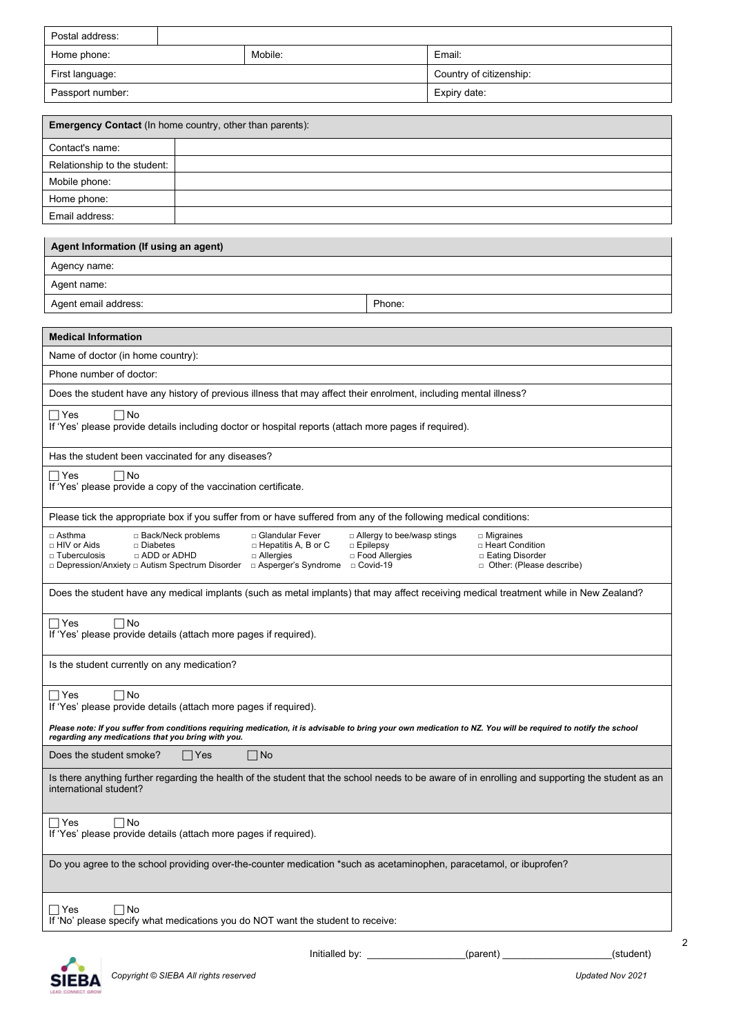| Postal address:                                                                                                                               |                                       |                                                           |                                                                |                                                                                                                                                                |           |
|-----------------------------------------------------------------------------------------------------------------------------------------------|---------------------------------------|-----------------------------------------------------------|----------------------------------------------------------------|----------------------------------------------------------------------------------------------------------------------------------------------------------------|-----------|
| Home phone:                                                                                                                                   |                                       | Mobile:                                                   |                                                                | Email:                                                                                                                                                         |           |
| First language:                                                                                                                               |                                       |                                                           |                                                                | Country of citizenship:                                                                                                                                        |           |
| Passport number:                                                                                                                              |                                       |                                                           |                                                                | Expiry date:                                                                                                                                                   |           |
|                                                                                                                                               |                                       |                                                           |                                                                |                                                                                                                                                                |           |
| <b>Emergency Contact</b> (In home country, other than parents):                                                                               |                                       |                                                           |                                                                |                                                                                                                                                                |           |
| Contact's name:                                                                                                                               |                                       |                                                           |                                                                |                                                                                                                                                                |           |
| Relationship to the student:                                                                                                                  |                                       |                                                           |                                                                |                                                                                                                                                                |           |
| Mobile phone:                                                                                                                                 |                                       |                                                           |                                                                |                                                                                                                                                                |           |
| Home phone:                                                                                                                                   |                                       |                                                           |                                                                |                                                                                                                                                                |           |
| Email address:                                                                                                                                |                                       |                                                           |                                                                |                                                                                                                                                                |           |
|                                                                                                                                               |                                       |                                                           |                                                                |                                                                                                                                                                |           |
| Agent Information (If using an agent)                                                                                                         |                                       |                                                           |                                                                |                                                                                                                                                                |           |
| Agency name:                                                                                                                                  |                                       |                                                           |                                                                |                                                                                                                                                                |           |
| Agent name:                                                                                                                                   |                                       |                                                           |                                                                |                                                                                                                                                                |           |
| Agent email address:                                                                                                                          |                                       |                                                           | Phone:                                                         |                                                                                                                                                                |           |
|                                                                                                                                               |                                       |                                                           |                                                                |                                                                                                                                                                |           |
| <b>Medical Information</b>                                                                                                                    |                                       |                                                           |                                                                |                                                                                                                                                                |           |
| Name of doctor (in home country):                                                                                                             |                                       |                                                           |                                                                |                                                                                                                                                                |           |
| Phone number of doctor:                                                                                                                       |                                       |                                                           |                                                                |                                                                                                                                                                |           |
| Does the student have any history of previous illness that may affect their enrolment, including mental illness?                              |                                       |                                                           |                                                                |                                                                                                                                                                |           |
| $\Box$ Yes<br>$\Box$ No<br>If 'Yes' please provide details including doctor or hospital reports (attach more pages if required).              |                                       |                                                           |                                                                |                                                                                                                                                                |           |
| Has the student been vaccinated for any diseases?                                                                                             |                                       |                                                           |                                                                |                                                                                                                                                                |           |
| ΠNo                                                                                                                                           |                                       |                                                           |                                                                |                                                                                                                                                                |           |
| $\Box$ Yes<br>If 'Yes' please provide a copy of the vaccination certificate.                                                                  |                                       |                                                           |                                                                |                                                                                                                                                                |           |
| Please tick the appropriate box if you suffer from or have suffered from any of the following medical conditions:                             |                                       |                                                           |                                                                |                                                                                                                                                                |           |
| □ Asthma<br>□ HIV or Aids<br>□ Diabetes<br>□ Tuberculosis<br>□ Depression/Anxiety □ Autism Spectrum Disorder □ Asperger's Syndrome □ Covid-19 | □ Back/Neck problems<br>□ ADD or ADHD | □ Glandular Fever<br>□ Hepatitis A, B or C<br>□ Allergies | □ Allergy to bee/wasp stings<br>□ Epilepsy<br>□ Food Allergies | $\Box$ Migraines<br>□ Heart Condition<br>□ Eating Disorder<br>Other: (Please describe)                                                                         |           |
|                                                                                                                                               |                                       |                                                           |                                                                | Does the student have any medical implants (such as metal implants) that may affect receiving medical treatment while in New Zealand?                          |           |
| $\sqcap$ Yes<br>$\Box$ No<br>If 'Yes' please provide details (attach more pages if required).                                                 |                                       |                                                           |                                                                |                                                                                                                                                                |           |
| Is the student currently on any medication?                                                                                                   |                                       |                                                           |                                                                |                                                                                                                                                                |           |
| $\Box$ Yes<br>$\Box$ No<br>If 'Yes' please provide details (attach more pages if required).                                                   |                                       |                                                           |                                                                |                                                                                                                                                                |           |
| regarding any medications that you bring with you.                                                                                            |                                       |                                                           |                                                                | Please note: If you suffer from conditions requiring medication, it is advisable to bring your own medication to NZ. You will be required to notify the school |           |
| Does the student smoke?                                                                                                                       | ∣ ∣Yes                                | $\Box$ No                                                 |                                                                |                                                                                                                                                                |           |
| international student?                                                                                                                        |                                       |                                                           |                                                                | Is there anything further regarding the health of the student that the school needs to be aware of in enrolling and supporting the student as an               |           |
| $\Box$ No<br>∏Yes<br>If 'Yes' please provide details (attach more pages if required).                                                         |                                       |                                                           |                                                                |                                                                                                                                                                |           |
|                                                                                                                                               |                                       |                                                           |                                                                | Do you agree to the school providing over-the-counter medication *such as acetaminophen, paracetamol, or ibuprofen?                                            |           |
| $\Box$ No<br>∏Yes<br>If 'No' please specify what medications you do NOT want the student to receive:                                          |                                       |                                                           |                                                                |                                                                                                                                                                |           |
|                                                                                                                                               |                                       | Initialled by:                                            |                                                                | (parent)                                                                                                                                                       | (student) |

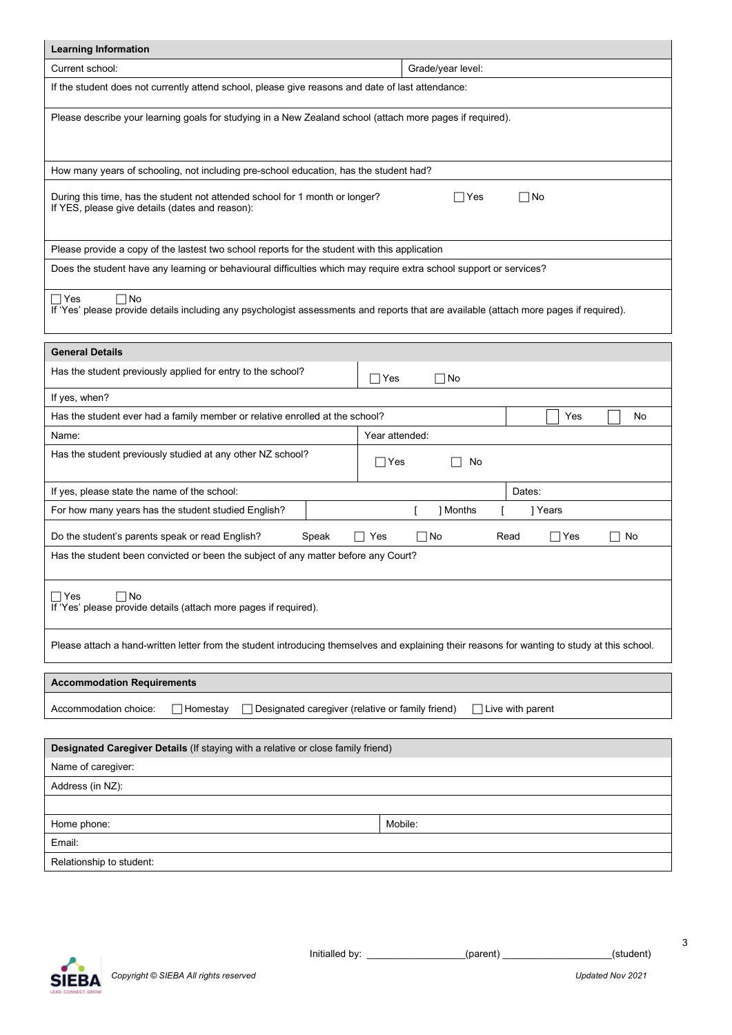| <b>Learning Information</b>                                                                                                                                       |                                                                                                                                               |
|-------------------------------------------------------------------------------------------------------------------------------------------------------------------|-----------------------------------------------------------------------------------------------------------------------------------------------|
| Current school:                                                                                                                                                   | Grade/year level:                                                                                                                             |
| If the student does not currently attend school, please give reasons and date of last attendance:                                                                 |                                                                                                                                               |
| Please describe your learning goals for studying in a New Zealand school (attach more pages if required).                                                         |                                                                                                                                               |
| How many years of schooling, not including pre-school education, has the student had?                                                                             |                                                                                                                                               |
| During this time, has the student not attended school for 1 month or longer?<br>If YES, please give details (dates and reason):                                   | $\Box$ No<br>∏Yes                                                                                                                             |
| Please provide a copy of the lastest two school reports for the student with this application                                                                     |                                                                                                                                               |
| Does the student have any learning or behavioural difficulties which may require extra school support or services?                                                |                                                                                                                                               |
| $\Box$ No<br>$\Box$ Yes<br>If 'Yes' please provide details including any psychologist assessments and reports that are available (attach more pages if required). |                                                                                                                                               |
| <b>General Details</b>                                                                                                                                            |                                                                                                                                               |
| Has the student previously applied for entry to the school?                                                                                                       | $\Box$ Yes<br>∩No                                                                                                                             |
| If yes, when?                                                                                                                                                     |                                                                                                                                               |
| Has the student ever had a family member or relative enrolled at the school?                                                                                      | Yes<br>No                                                                                                                                     |
| Name:                                                                                                                                                             | Year attended:                                                                                                                                |
| Has the student previously studied at any other NZ school?                                                                                                        | ∏Yes<br>No                                                                                                                                    |
| If yes, please state the name of the school:                                                                                                                      | Dates:                                                                                                                                        |
| For how many years has the student studied English?                                                                                                               | ] Months<br>1 Years<br>ſ                                                                                                                      |
| Do the student's parents speak or read English?<br>Speak                                                                                                          | Yes<br>∏No<br>Read<br>∏Yes<br>No                                                                                                              |
| Has the student been convicted or been the subject of any matter before any Court?                                                                                |                                                                                                                                               |
| $\Box$ Yes<br>∩No<br>If 'Yes' please provide details (attach more pages if required).                                                                             |                                                                                                                                               |
|                                                                                                                                                                   | Please attach a hand-written letter from the student introducing themselves and explaining their reasons for wanting to study at this school. |
| <b>Accommodation Requirements</b>                                                                                                                                 |                                                                                                                                               |
| Accommodation choice:<br>∣Homestay                                                                                                                                | Designated caregiver (relative or family friend)<br>Live with parent                                                                          |
| Designated Caregiver Details (If staying with a relative or close family friend)                                                                                  |                                                                                                                                               |
| Name of caregiver:                                                                                                                                                |                                                                                                                                               |
| Address (in NZ):                                                                                                                                                  |                                                                                                                                               |
|                                                                                                                                                                   |                                                                                                                                               |
| Home phone:                                                                                                                                                       | Mobile:                                                                                                                                       |
| Email:                                                                                                                                                            |                                                                                                                                               |
| Relationship to student:                                                                                                                                          |                                                                                                                                               |



Initialled by: \_\_\_\_\_\_\_\_\_\_\_\_\_\_\_\_\_\_(parent) \_\_\_\_\_\_\_\_\_\_\_\_\_\_\_\_\_\_\_\_(student)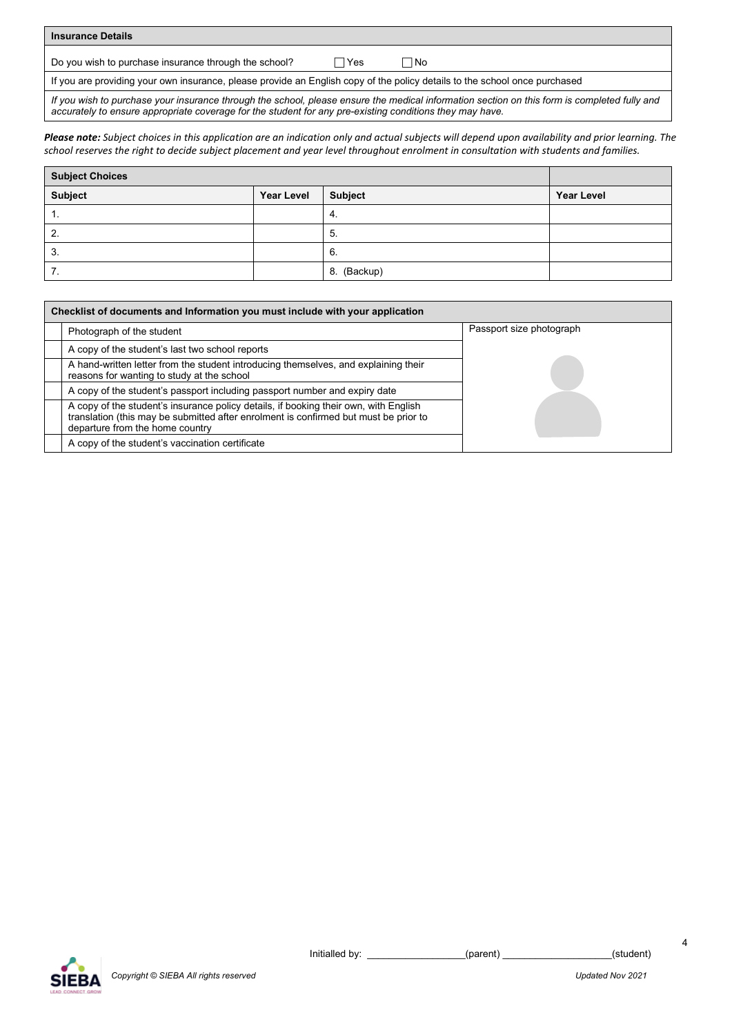| <b>Insurance Details</b>                              |       |     |  |
|-------------------------------------------------------|-------|-----|--|
| Do you wish to purchase insurance through the school? | ⊃ Yes | ∃No |  |

If you are providing your own insurance, please provide an English copy of the policy details to the school once purchased

*If you wish to purchase your insurance through the school, please ensure the medical information section on this form is completed fully and accurately to ensure appropriate coverage for the student for any pre-existing conditions they may have.*

*Please note: Subject choices in this application are an indication only and actual subjects will depend upon availability and prior learning. The school reserves the right to decide subject placement and year level throughout enrolment in consultation with students and families.* 

| <b>Subject Choices</b> |                   |             |                   |
|------------------------|-------------------|-------------|-------------------|
| Subject                | <b>Year Level</b> | Subject     | <b>Year Level</b> |
| п.                     |                   | 4.          |                   |
| 2.                     |                   | 5.          |                   |
| 3.                     |                   | 6.          |                   |
| 7.                     |                   | 8. (Backup) |                   |

| Checklist of documents and Information you must include with your application                                                                                                                                   |                          |
|-----------------------------------------------------------------------------------------------------------------------------------------------------------------------------------------------------------------|--------------------------|
| Photograph of the student                                                                                                                                                                                       | Passport size photograph |
| A copy of the student's last two school reports                                                                                                                                                                 |                          |
| A hand-written letter from the student introducing themselves, and explaining their<br>reasons for wanting to study at the school                                                                               |                          |
| A copy of the student's passport including passport number and expiry date                                                                                                                                      |                          |
| A copy of the student's insurance policy details, if booking their own, with English<br>translation (this may be submitted after enrolment is confirmed but must be prior to<br>departure from the home country |                          |
| A copy of the student's vaccination certificate                                                                                                                                                                 |                          |

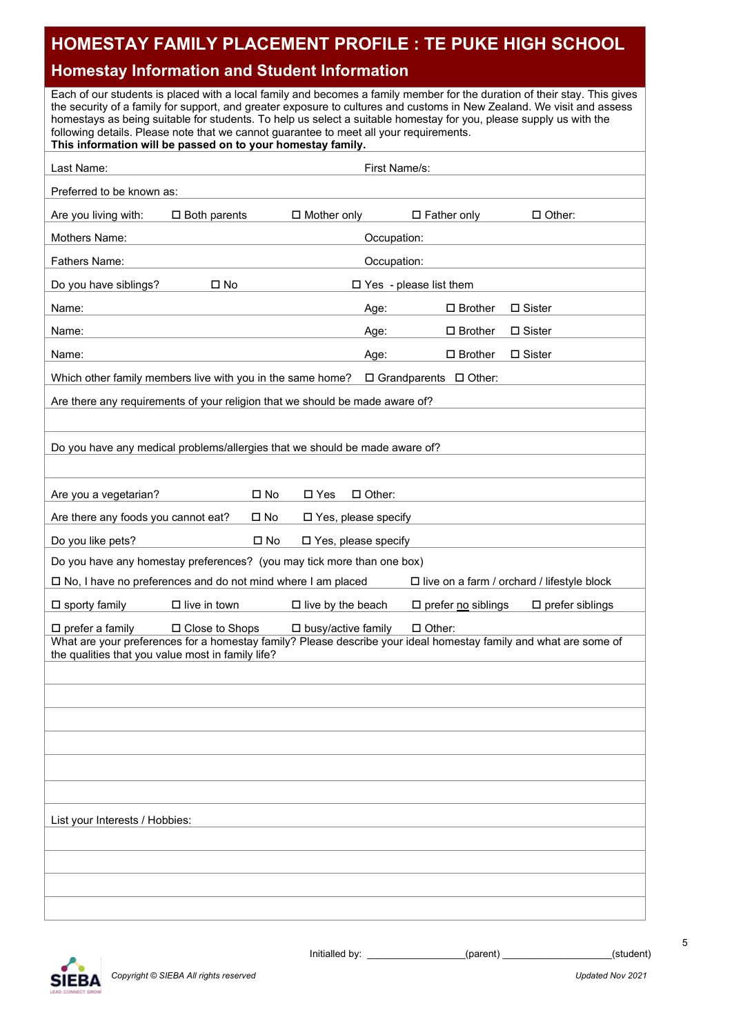# **HOMESTAY FAMILY PLACEMENT PROFILE : TE PUKE HIGH SCHOOL**

# **Homestay Information and Student Information**

Each of our students is placed with a local family and becomes a family member for the duration of their stay. This gives the security of a family for support, and greater exposure to cultures and customs in New Zealand. We visit and assess homestays as being suitable for students. To help us select a suitable homestay for you, please supply us with the following details. Please note that we cannot guarantee to meet all your requirements. **This information will be passed on to your homestay family.**

| Last Name:                          |                                                                              |                             | First Name/s: |                                   |                                                                                                                  |
|-------------------------------------|------------------------------------------------------------------------------|-----------------------------|---------------|-----------------------------------|------------------------------------------------------------------------------------------------------------------|
| Preferred to be known as:           |                                                                              |                             |               |                                   |                                                                                                                  |
| Are you living with:                | $\square$ Both parents                                                       | $\Box$ Mother only          |               | $\square$ Father only             | $\Box$ Other:                                                                                                    |
| Mothers Name:                       |                                                                              |                             | Occupation:   |                                   |                                                                                                                  |
| Fathers Name:                       |                                                                              |                             | Occupation:   |                                   |                                                                                                                  |
| Do you have siblings?               | $\square$ No                                                                 |                             |               | □ Yes - please list them          |                                                                                                                  |
| Name:                               |                                                                              |                             | Age:          | $\square$ Brother                 | $\square$ Sister                                                                                                 |
| Name:                               |                                                                              |                             | Age:          | $\square$ Brother                 | $\square$ Sister                                                                                                 |
| Name:                               |                                                                              |                             | Age:          | $\square$ Brother                 | $\square$ Sister                                                                                                 |
|                                     | Which other family members live with you in the same home?                   |                             |               | $\Box$ Grandparents $\Box$ Other: |                                                                                                                  |
|                                     | Are there any requirements of your religion that we should be made aware of? |                             |               |                                   |                                                                                                                  |
|                                     |                                                                              |                             |               |                                   |                                                                                                                  |
|                                     | Do you have any medical problems/allergies that we should be made aware of?  |                             |               |                                   |                                                                                                                  |
|                                     |                                                                              |                             |               |                                   |                                                                                                                  |
| Are you a vegetarian?               | $\square$ No                                                                 | $\square$ Yes               | $\Box$ Other: |                                   |                                                                                                                  |
| Are there any foods you cannot eat? | $\square$ No                                                                 | □ Yes, please specify       |               |                                   |                                                                                                                  |
| Do you like pets?                   | $\square$ No                                                                 | $\Box$ Yes, please specify  |               |                                   |                                                                                                                  |
|                                     | Do you have any homestay preferences? (you may tick more than one box)       |                             |               |                                   |                                                                                                                  |
|                                     | □ No, I have no preferences and do not mind where I am placed                |                             |               |                                   | $\square$ live on a farm / orchard / lifestyle block                                                             |
| $\square$ sporty family             | $\square$ live in town                                                       | $\square$ live by the beach |               | $\square$ prefer no siblings      | $\square$ prefer siblings                                                                                        |
| $\square$ prefer a family           | □ Close to Shops                                                             | $\Box$ busy/active family   |               | $\Box$ Other:                     |                                                                                                                  |
|                                     | the qualities that you value most in family life?                            |                             |               |                                   | What are your preferences for a homestay family? Please describe your ideal homestay family and what are some of |
|                                     |                                                                              |                             |               |                                   |                                                                                                                  |
|                                     |                                                                              |                             |               |                                   |                                                                                                                  |
|                                     |                                                                              |                             |               |                                   |                                                                                                                  |
|                                     |                                                                              |                             |               |                                   |                                                                                                                  |
|                                     |                                                                              |                             |               |                                   |                                                                                                                  |
|                                     |                                                                              |                             |               |                                   |                                                                                                                  |
|                                     |                                                                              |                             |               |                                   |                                                                                                                  |
| List your Interests / Hobbies:      |                                                                              |                             |               |                                   |                                                                                                                  |
|                                     |                                                                              |                             |               |                                   |                                                                                                                  |
|                                     |                                                                              |                             |               |                                   |                                                                                                                  |
|                                     |                                                                              |                             |               |                                   |                                                                                                                  |
|                                     |                                                                              |                             |               |                                   |                                                                                                                  |



Initialled by: \_\_\_\_\_\_\_\_\_\_\_\_\_\_\_\_\_\_(parent) \_\_\_\_\_\_\_\_\_\_\_\_\_\_\_\_\_\_\_\_(student)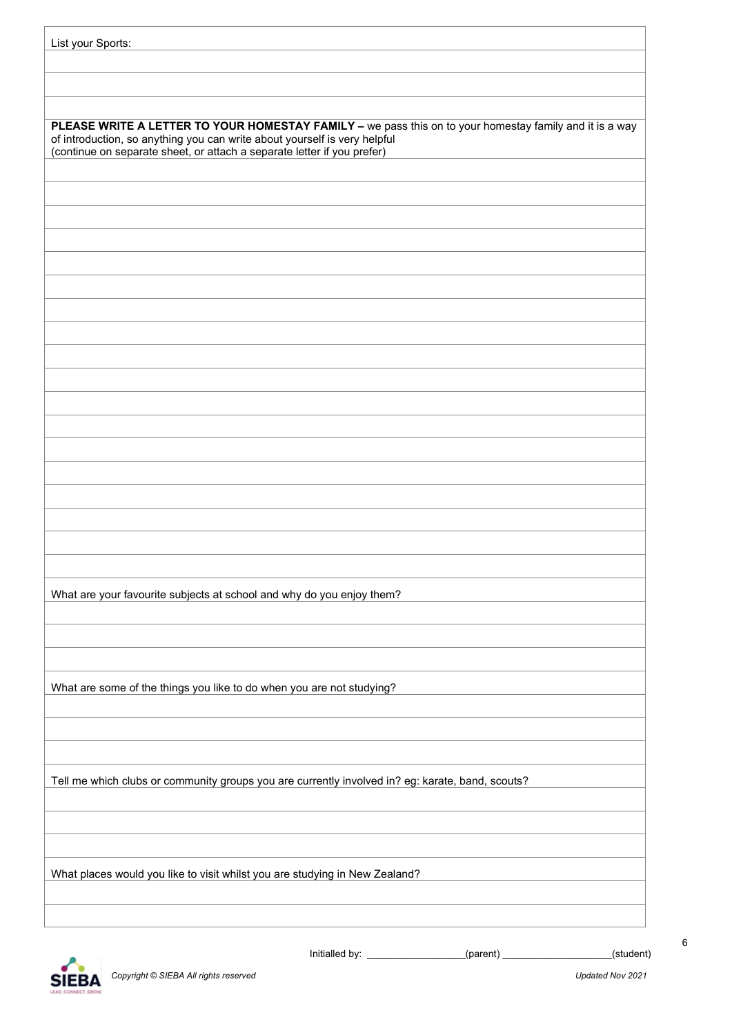| List your Sports:                                                                                                                                                                                                                                               |
|-----------------------------------------------------------------------------------------------------------------------------------------------------------------------------------------------------------------------------------------------------------------|
|                                                                                                                                                                                                                                                                 |
|                                                                                                                                                                                                                                                                 |
|                                                                                                                                                                                                                                                                 |
| PLEASE WRITE A LETTER TO YOUR HOMESTAY FAMILY - we pass this on to your homestay family and it is a way<br>of introduction, so anything you can write about yourself is very helpful<br>(continue on separate sheet, or attach a separate letter if you prefer) |
|                                                                                                                                                                                                                                                                 |
|                                                                                                                                                                                                                                                                 |
|                                                                                                                                                                                                                                                                 |
|                                                                                                                                                                                                                                                                 |
|                                                                                                                                                                                                                                                                 |
|                                                                                                                                                                                                                                                                 |
|                                                                                                                                                                                                                                                                 |
|                                                                                                                                                                                                                                                                 |
|                                                                                                                                                                                                                                                                 |
|                                                                                                                                                                                                                                                                 |
|                                                                                                                                                                                                                                                                 |
|                                                                                                                                                                                                                                                                 |
|                                                                                                                                                                                                                                                                 |
|                                                                                                                                                                                                                                                                 |
|                                                                                                                                                                                                                                                                 |
|                                                                                                                                                                                                                                                                 |
|                                                                                                                                                                                                                                                                 |
|                                                                                                                                                                                                                                                                 |
|                                                                                                                                                                                                                                                                 |
| What are your favourite subjects at school and why do you enjoy them?                                                                                                                                                                                           |
|                                                                                                                                                                                                                                                                 |
|                                                                                                                                                                                                                                                                 |
|                                                                                                                                                                                                                                                                 |
| What are some of the things you like to do when you are not studying?                                                                                                                                                                                           |
|                                                                                                                                                                                                                                                                 |
|                                                                                                                                                                                                                                                                 |
|                                                                                                                                                                                                                                                                 |
| Tell me which clubs or community groups you are currently involved in? eg: karate, band, scouts?                                                                                                                                                                |
|                                                                                                                                                                                                                                                                 |
|                                                                                                                                                                                                                                                                 |
|                                                                                                                                                                                                                                                                 |
| What places would you like to visit whilst you are studying in New Zealand?                                                                                                                                                                                     |
|                                                                                                                                                                                                                                                                 |
|                                                                                                                                                                                                                                                                 |

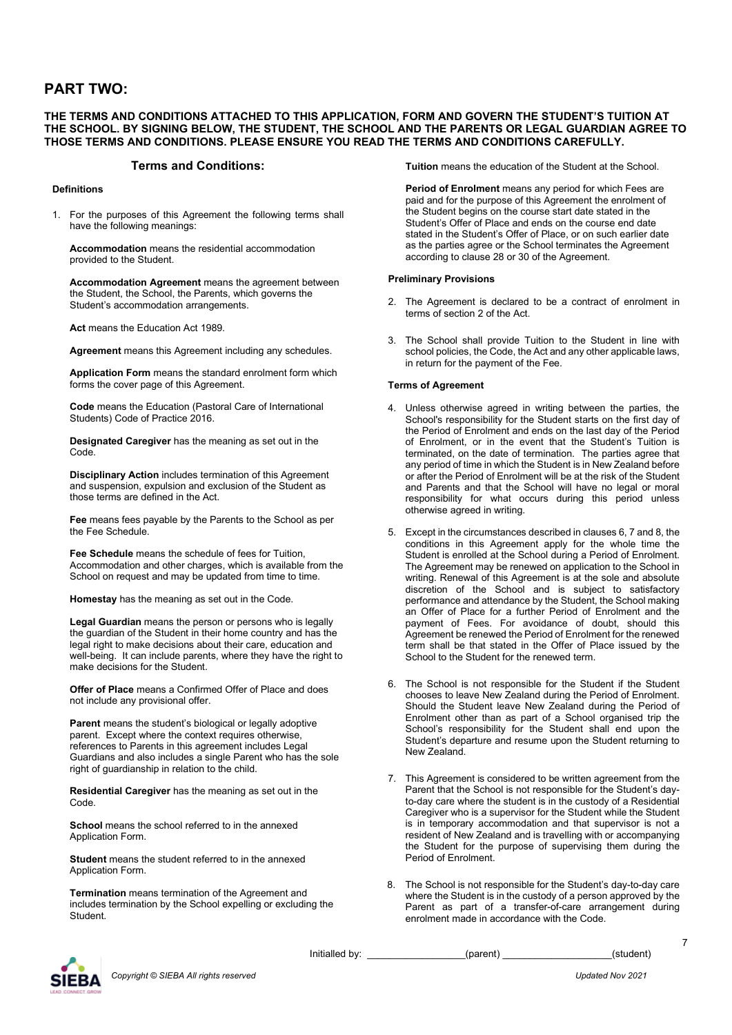# **PART TWO:**

**THE TERMS AND CONDITIONS ATTACHED TO THIS APPLICATION, FORM AND GOVERN THE STUDENT'S TUITION AT THE SCHOOL. BY SIGNING BELOW, THE STUDENT, THE SCHOOL AND THE PARENTS OR LEGAL GUARDIAN AGREE TO THOSE TERMS AND CONDITIONS. PLEASE ENSURE YOU READ THE TERMS AND CONDITIONS CAREFULLY.**

#### **Terms and Conditions:**

#### **Definitions**

1. For the purposes of this Agreement the following terms shall have the following meanings:

**Accommodation** means the residential accommodation provided to the Student.

**Accommodation Agreement** means the agreement between the Student, the School, the Parents, which governs the Student's accommodation arrangements.

**Act** means the Education Act 1989.

**Agreement** means this Agreement including any schedules.

**Application Form** means the standard enrolment form which forms the cover page of this Agreement.

**Code** means the Education (Pastoral Care of International Students) Code of Practice 2016.

**Designated Caregiver** has the meaning as set out in the Code.

**Disciplinary Action** includes termination of this Agreement and suspension, expulsion and exclusion of the Student as those terms are defined in the Act.

**Fee** means fees payable by the Parents to the School as per the Fee Schedule.

**Fee Schedule** means the schedule of fees for Tuition, Accommodation and other charges, which is available from the School on request and may be updated from time to time.

**Homestay** has the meaning as set out in the Code.

**Legal Guardian** means the person or persons who is legally the guardian of the Student in their home country and has the legal right to make decisions about their care, education and well-being. It can include parents, where they have the right to make decisions for the Student.

**Offer of Place** means a Confirmed Offer of Place and does not include any provisional offer.

**Parent** means the student's biological or legally adoptive parent. Except where the context requires otherwise, references to Parents in this agreement includes Legal Guardians and also includes a single Parent who has the sole right of guardianship in relation to the child.

**Residential Caregiver** has the meaning as set out in the Code.

**School** means the school referred to in the annexed Application Form.

**Student** means the student referred to in the annexed Application Form.

**Termination** means termination of the Agreement and includes termination by the School expelling or excluding the Student.

**Tuition** means the education of the Student at the School.

**Period of Enrolment** means any period for which Fees are paid and for the purpose of this Agreement the enrolment of the Student begins on the course start date stated in the Student's Offer of Place and ends on the course end date stated in the Student's Offer of Place, or on such earlier date as the parties agree or the School terminates the Agreement according to clause 28 or 30 of the Agreement.

#### **Preliminary Provisions**

- 2. The Agreement is declared to be a contract of enrolment in terms of section 2 of the Act.
- 3. The School shall provide Tuition to the Student in line with school policies, the Code, the Act and any other applicable laws, in return for the payment of the Fee.

#### **Terms of Agreement**

- 4. Unless otherwise agreed in writing between the parties, the School's responsibility for the Student starts on the first day of the Period of Enrolment and ends on the last day of the Period of Enrolment, or in the event that the Student's Tuition is terminated, on the date of termination. The parties agree that any period of time in which the Student is in New Zealand before or after the Period of Enrolment will be at the risk of the Student and Parents and that the School will have no legal or moral responsibility for what occurs during this period unless otherwise agreed in writing.
- 5. Except in the circumstances described in clauses 6, 7 and 8, the conditions in this Agreement apply for the whole time the Student is enrolled at the School during a Period of Enrolment. The Agreement may be renewed on application to the School in writing. Renewal of this Agreement is at the sole and absolute discretion of the School and is subject to satisfactory performance and attendance by the Student, the School making an Offer of Place for a further Period of Enrolment and the payment of Fees. For avoidance of doubt, should this Agreement be renewed the Period of Enrolment for the renewed term shall be that stated in the Offer of Place issued by the School to the Student for the renewed term.
- 6. The School is not responsible for the Student if the Student chooses to leave New Zealand during the Period of Enrolment. Should the Student leave New Zealand during the Period of Enrolment other than as part of a School organised trip the School's responsibility for the Student shall end upon the Student's departure and resume upon the Student returning to New Zealand.
- 7. This Agreement is considered to be written agreement from the Parent that the School is not responsible for the Student's dayto-day care where the student is in the custody of a Residential Caregiver who is a supervisor for the Student while the Student is in temporary accommodation and that supervisor is not a resident of New Zealand and is travelling with or accompanying the Student for the purpose of supervising them during the Period of Enrolment.
- 8. The School is not responsible for the Student's day-to-day care where the Student is in the custody of a person approved by the Parent as part of a transfer-of-care arrangement during enrolment made in accordance with the Code.



Initialled by: \_\_\_\_\_\_\_\_\_\_\_\_\_\_\_\_\_\_(parent) \_\_\_\_\_\_\_\_\_\_\_\_\_\_\_\_\_\_\_\_(student)

7

*Copyright © SIEBA All rights reserved Updated Nov 2021*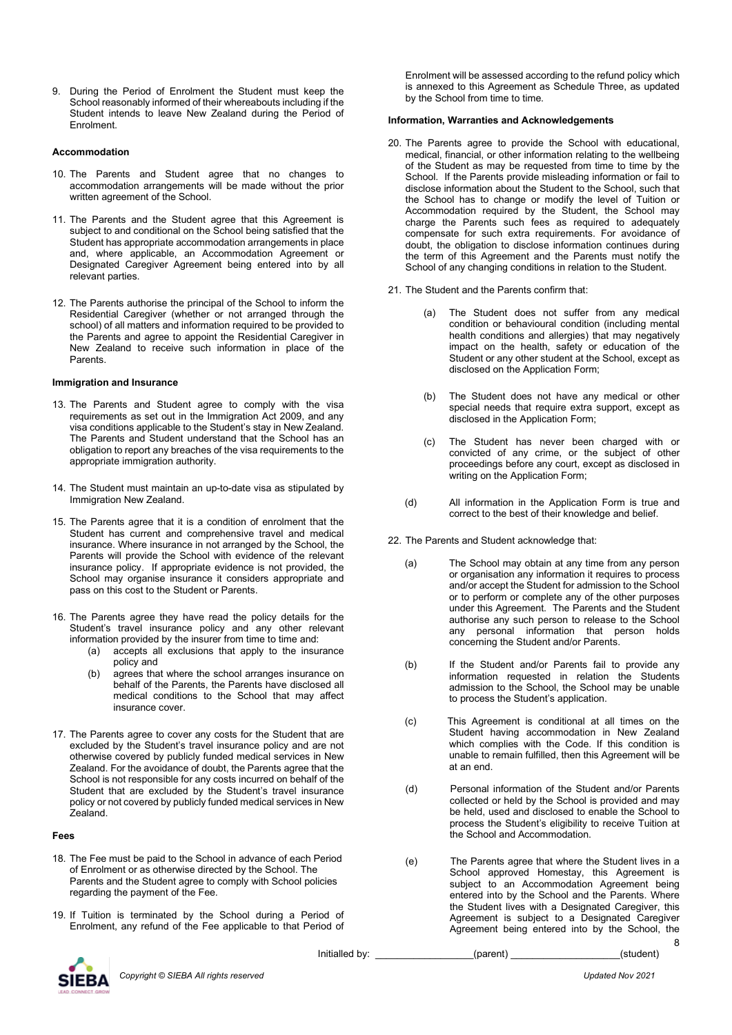9. During the Period of Enrolment the Student must keep the School reasonably informed of their whereabouts including if the Student intends to leave New Zealand during the Period of Enrolment.

#### **Accommodation**

- 10. The Parents and Student agree that no changes to accommodation arrangements will be made without the prior written agreement of the School.
- 11. The Parents and the Student agree that this Agreement is subject to and conditional on the School being satisfied that the Student has appropriate accommodation arrangements in place and, where applicable, an Accommodation Agreement or Designated Caregiver Agreement being entered into by all relevant parties.
- 12. The Parents authorise the principal of the School to inform the Residential Caregiver (whether or not arranged through the school) of all matters and information required to be provided to the Parents and agree to appoint the Residential Caregiver in New Zealand to receive such information in place of the Parents.

#### **Immigration and Insurance**

- 13. The Parents and Student agree to comply with the visa requirements as set out in the Immigration Act 2009, and any visa conditions applicable to the Student's stay in New Zealand. The Parents and Student understand that the School has an obligation to report any breaches of the visa requirements to the appropriate immigration authority.
- 14. The Student must maintain an up-to-date visa as stipulated by Immigration New Zealand.
- 15. The Parents agree that it is a condition of enrolment that the Student has current and comprehensive travel and medical insurance. Where insurance in not arranged by the School, the Parents will provide the School with evidence of the relevant insurance policy. If appropriate evidence is not provided, the School may organise insurance it considers appropriate and pass on this cost to the Student or Parents.
- 16. The Parents agree they have read the policy details for the Student's travel insurance policy and any other relevant information provided by the insurer from time to time and:
	- (a) accepts all exclusions that apply to the insurance policy and
	- (b) agrees that where the school arranges insurance on behalf of the Parents, the Parents have disclosed all medical conditions to the School that may affect insurance cover.
- 17. The Parents agree to cover any costs for the Student that are excluded by the Student's travel insurance policy and are not otherwise covered by publicly funded medical services in New Zealand. For the avoidance of doubt, the Parents agree that the School is not responsible for any costs incurred on behalf of the Student that are excluded by the Student's travel insurance policy or not covered by publicly funded medical services in New Zealand.

#### **Fees**

- 18. The Fee must be paid to the School in advance of each Period of Enrolment or as otherwise directed by the School. The Parents and the Student agree to comply with School policies regarding the payment of the Fee.
- 19. If Tuition is terminated by the School during a Period of Enrolment, any refund of the Fee applicable to that Period of



Initialled by:  $(parent)$  (parent) (student)

Enrolment will be assessed according to the refund policy which is annexed to this Agreement as Schedule Three, as updated by the School from time to time.

#### **Information, Warranties and Acknowledgements**

- 20. The Parents agree to provide the School with educational, medical, financial, or other information relating to the wellbeing of the Student as may be requested from time to time by the School. If the Parents provide misleading information or fail to disclose information about the Student to the School, such that the School has to change or modify the level of Tuition or Accommodation required by the Student, the School may charge the Parents such fees as required to adequately compensate for such extra requirements. For avoidance of doubt, the obligation to disclose information continues during the term of this Agreement and the Parents must notify the School of any changing conditions in relation to the Student.
- 21. The Student and the Parents confirm that:
	- (a) The Student does not suffer from any medical condition or behavioural condition (including mental health conditions and allergies) that may negatively impact on the health, safety or education of the Student or any other student at the School, except as disclosed on the Application Form;
	- (b) The Student does not have any medical or other special needs that require extra support, except as disclosed in the Application Form;
	- (c) The Student has never been charged with or convicted of any crime, or the subject of other proceedings before any court, except as disclosed in writing on the Application Form;
	- (d) All information in the Application Form is true and correct to the best of their knowledge and belief.
- 22. The Parents and Student acknowledge that:
	- (a) The School may obtain at any time from any person or organisation any information it requires to process and/or accept the Student for admission to the School or to perform or complete any of the other purposes under this Agreement. The Parents and the Student authorise any such person to release to the School any personal information that person holds concerning the Student and/or Parents.
	- (b) If the Student and/or Parents fail to provide any information requested in relation the Students admission to the School, the School may be unable to process the Student's application.
	- (c) This Agreement is conditional at all times on the Student having accommodation in New Zealand which complies with the Code. If this condition is unable to remain fulfilled, then this Agreement will be at an end.
	- (d) Personal information of the Student and/or Parents collected or held by the School is provided and may be held, used and disclosed to enable the School to process the Student's eligibility to receive Tuition at the School and Accommodation.
	- 8 (e) The Parents agree that where the Student lives in a School approved Homestay, this Agreement is subject to an Accommodation Agreement being entered into by the School and the Parents. Where the Student lives with a Designated Caregiver, this Agreement is subject to a Designated Caregiver Agreement being entered into by the School, the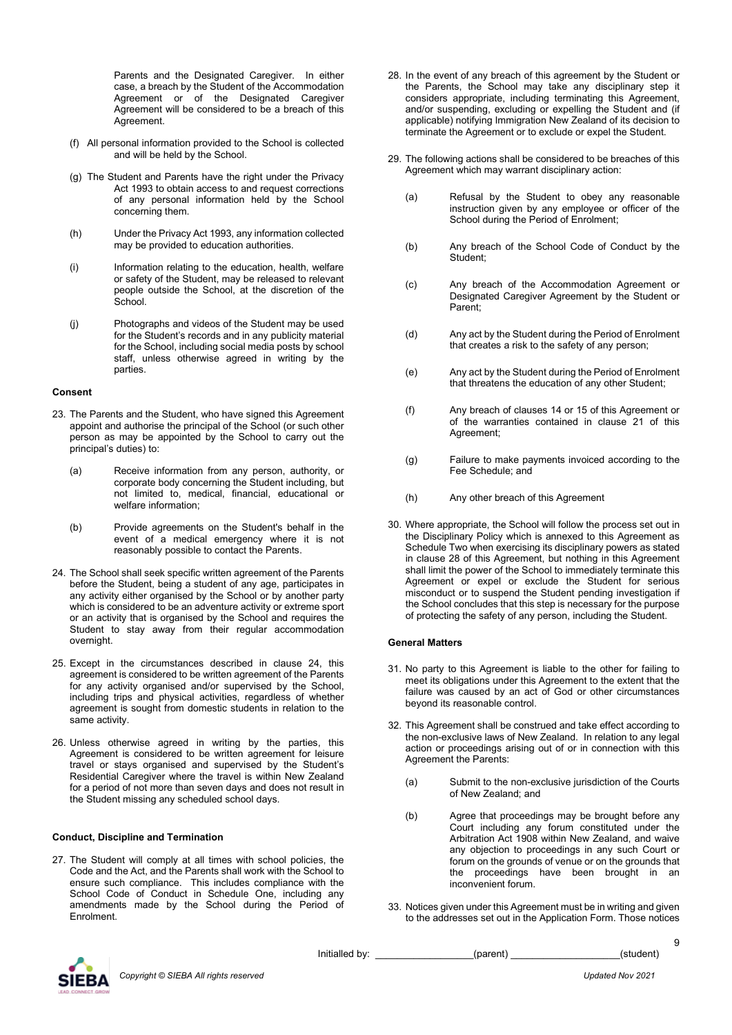Parents and the Designated Caregiver. In either case, a breach by the Student of the Accommodation Agreement or of the Designated Caregiver Agreement will be considered to be a breach of this Agreement.

- (f) All personal information provided to the School is collected and will be held by the School.
- (g) The Student and Parents have the right under the Privacy Act 1993 to obtain access to and request corrections of any personal information held by the School concerning them.
- (h) Under the Privacy Act 1993, any information collected may be provided to education authorities.
- (i) Information relating to the education, health, welfare or safety of the Student, may be released to relevant people outside the School, at the discretion of the School.
- (j) Photographs and videos of the Student may be used for the Student's records and in any publicity material for the School, including social media posts by school staff, unless otherwise agreed in writing by the parties.

#### **Consent**

- 23. The Parents and the Student, who have signed this Agreement appoint and authorise the principal of the School (or such other person as may be appointed by the School to carry out the principal's duties) to:
	- (a) Receive information from any person, authority, or corporate body concerning the Student including, but not limited to, medical, financial, educational or welfare information;
	- (b) Provide agreements on the Student's behalf in the event of a medical emergency where it is not reasonably possible to contact the Parents.
- 24. The School shall seek specific written agreement of the Parents before the Student, being a student of any age, participates in any activity either organised by the School or by another party which is considered to be an adventure activity or extreme sport or an activity that is organised by the School and requires the Student to stay away from their regular accommodation overnight.
- 25. Except in the circumstances described in clause 24, this agreement is considered to be written agreement of the Parents for any activity organised and/or supervised by the School, including trips and physical activities, regardless of whether agreement is sought from domestic students in relation to the same activity.
- 26. Unless otherwise agreed in writing by the parties, this Agreement is considered to be written agreement for leisure travel or stays organised and supervised by the Student's Residential Caregiver where the travel is within New Zealand for a period of not more than seven days and does not result in the Student missing any scheduled school days.

#### **Conduct, Discipline and Termination**

27. The Student will comply at all times with school policies, the Code and the Act, and the Parents shall work with the School to ensure such compliance. This includes compliance with the School Code of Conduct in Schedule One, including any amendments made by the School during the Period of Enrolment.

- 28. In the event of any breach of this agreement by the Student or the Parents, the School may take any disciplinary step it considers appropriate, including terminating this Agreement, and/or suspending, excluding or expelling the Student and (if applicable) notifying Immigration New Zealand of its decision to terminate the Agreement or to exclude or expel the Student.
- 29. The following actions shall be considered to be breaches of this Agreement which may warrant disciplinary action:
	- (a) Refusal by the Student to obey any reasonable instruction given by any employee or officer of the School during the Period of Enrolment;
	- (b) Any breach of the School Code of Conduct by the Student;
	- (c) Any breach of the Accommodation Agreement or Designated Caregiver Agreement by the Student or Parent;
	- (d) Any act by the Student during the Period of Enrolment that creates a risk to the safety of any person;
	- (e) Any act by the Student during the Period of Enrolment that threatens the education of any other Student;
	- (f) Any breach of clauses 14 or 15 of this Agreement or of the warranties contained in clause 21 of this Agreement;
	- (g) Failure to make payments invoiced according to the Fee Schedule; and
	- (h) Any other breach of this Agreement
- 30. Where appropriate, the School will follow the process set out in the Disciplinary Policy which is annexed to this Agreement as Schedule Two when exercising its disciplinary powers as stated in clause 28 of this Agreement, but nothing in this Agreement shall limit the power of the School to immediately terminate this Agreement or expel or exclude the Student for serious misconduct or to suspend the Student pending investigation if the School concludes that this step is necessary for the purpose of protecting the safety of any person, including the Student.

#### **General Matters**

- 31. No party to this Agreement is liable to the other for failing to meet its obligations under this Agreement to the extent that the failure was caused by an act of God or other circumstances beyond its reasonable control.
- 32. This Agreement shall be construed and take effect according to the non-exclusive laws of New Zealand. In relation to any legal action or proceedings arising out of or in connection with this Agreement the Parents:
	- (a) Submit to the non-exclusive jurisdiction of the Courts of New Zealand; and
	- (b) Agree that proceedings may be brought before any Court including any forum constituted under the Arbitration Act 1908 within New Zealand, and waive any objection to proceedings in any such Court or forum on the grounds of venue or on the grounds that the proceedings have been brought in an inconvenient forum.
- 33. Notices given under this Agreement must be in writing and given to the addresses set out in the Application Form. Those notices



Initialled by: \_\_\_\_\_\_\_\_\_\_\_\_\_\_\_\_\_\_(parent) \_\_\_\_\_\_\_\_\_\_\_\_\_\_\_\_\_\_\_\_(student)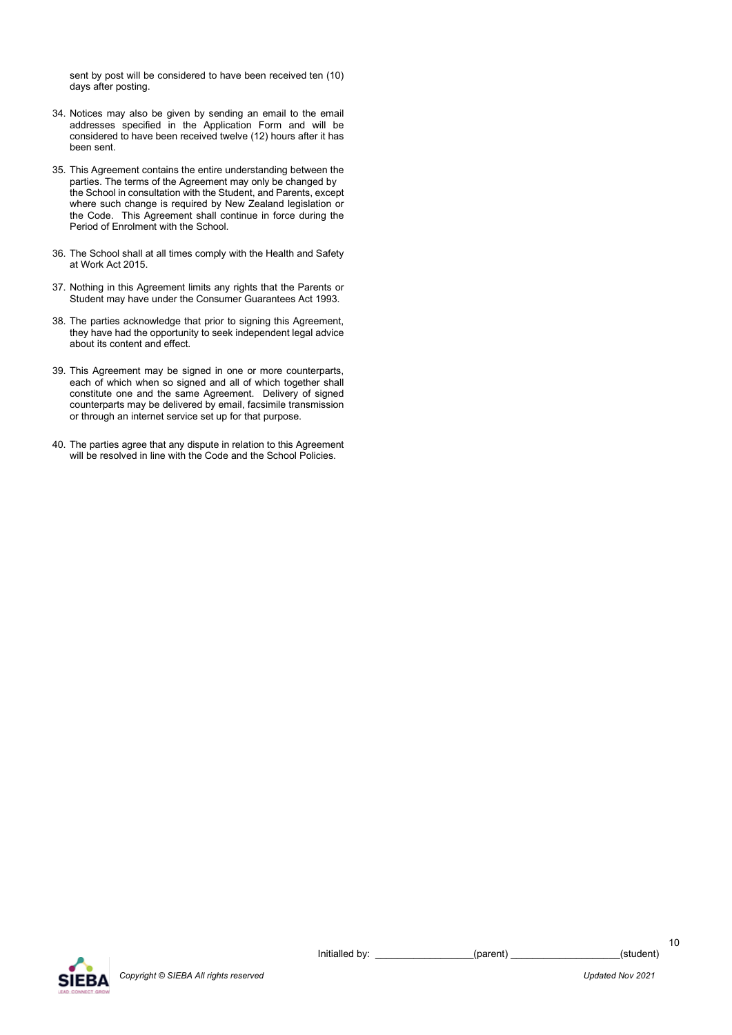sent by post will be considered to have been received ten (10) days after posting.

- 34. Notices may also be given by sending an email to the email addresses specified in the Application Form and will be considered to have been received twelve (12) hours after it has been sent.
- 35. This Agreement contains the entire understanding between the parties. The terms of the Agreement may only be changed by the School in consultation with the Student, and Parents, except where such change is required by New Zealand legislation or the Code. This Agreement shall continue in force during the Period of Enrolment with the School.
- 36. The School shall at all times comply with the Health and Safety at Work Act 2015.
- 37. Nothing in this Agreement limits any rights that the Parents or Student may have under the Consumer Guarantees Act 1993.
- 38. The parties acknowledge that prior to signing this Agreement, they have had the opportunity to seek independent legal advice about its content and effect.
- 39. This Agreement may be signed in one or more counterparts, each of which when so signed and all of which together shall constitute one and the same Agreement. Delivery of signed counterparts may be delivered by email, facsimile transmission or through an internet service set up for that purpose.
- 40. The parties agree that any dispute in relation to this Agreement will be resolved in line with the Code and the School Policies.

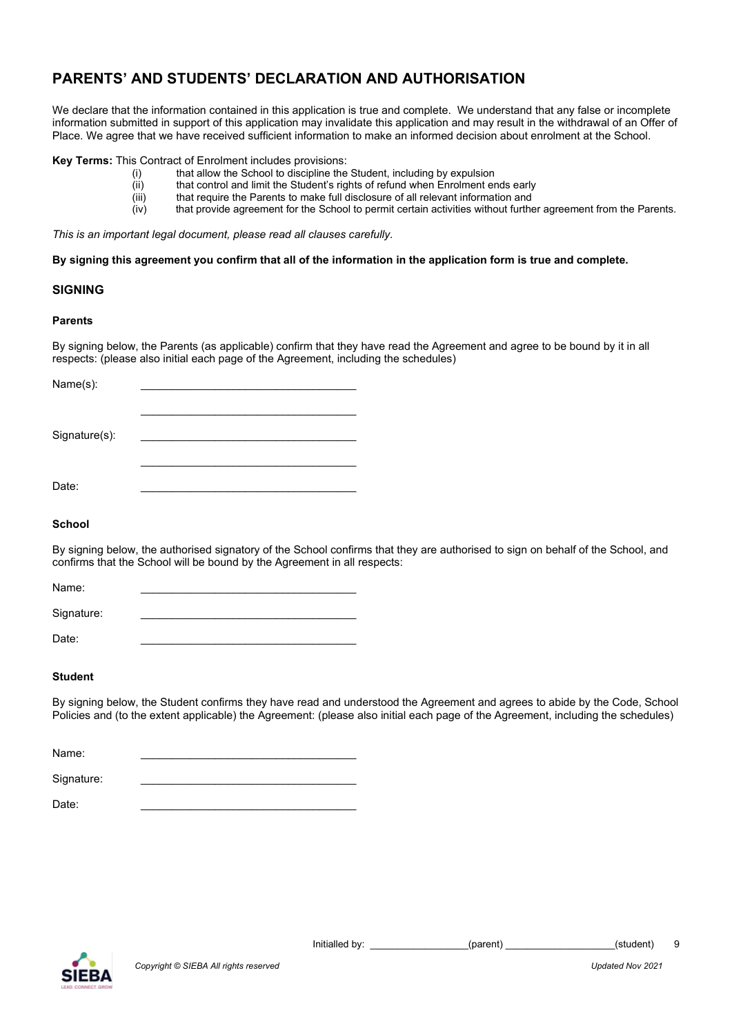# **PARENTS' AND STUDENTS' DECLARATION AND AUTHORISATION**

We declare that the information contained in this application is true and complete. We understand that any false or incomplete information submitted in support of this application may invalidate this application and may result in the withdrawal of an Offer of Place. We agree that we have received sufficient information to make an informed decision about enrolment at the School.

**Key Terms:** This Contract of Enrolment includes provisions:

- (i) that allow the School to discipline the Student, including by expulsion
- $(i)$  that control and limit the Student's rights of refund when Enrolment ends early<br> $(iii)$  that require the Parents to make full disclosure of all relevant information and
- that require the Parents to make full disclosure of all relevant information and
- (iv) that provide agreement for the School to permit certain activities without further agreement from the Parents.

*This is an important legal document, please read all clauses carefully.*

**By signing this agreement you confirm that all of the information in the application form is true and complete.**

# **SIGNING**

#### **Parents**

By signing below, the Parents (as applicable) confirm that they have read the Agreement and agree to be bound by it in all respects: (please also initial each page of the Agreement, including the schedules)

| Name(s):      |  |
|---------------|--|
| Signature(s): |  |
| Date:         |  |

## **School**

By signing below, the authorised signatory of the School confirms that they are authorised to sign on behalf of the School, and confirms that the School will be bound by the Agreement in all respects:

Name: \_\_\_\_\_\_\_\_\_\_\_\_\_\_\_\_\_\_\_\_\_\_\_\_\_\_\_\_\_\_\_\_\_\_\_ Signature:

Date: \_\_\_\_\_\_\_\_\_\_\_\_\_\_\_\_\_\_\_\_\_\_\_\_\_\_\_\_\_\_\_\_\_\_\_

## **Student**

By signing below, the Student confirms they have read and understood the Agreement and agrees to abide by the Code, School Policies and (to the extent applicable) the Agreement: (please also initial each page of the Agreement, including the schedules)

| Name:      |  |
|------------|--|
| Signature: |  |
| Date:      |  |

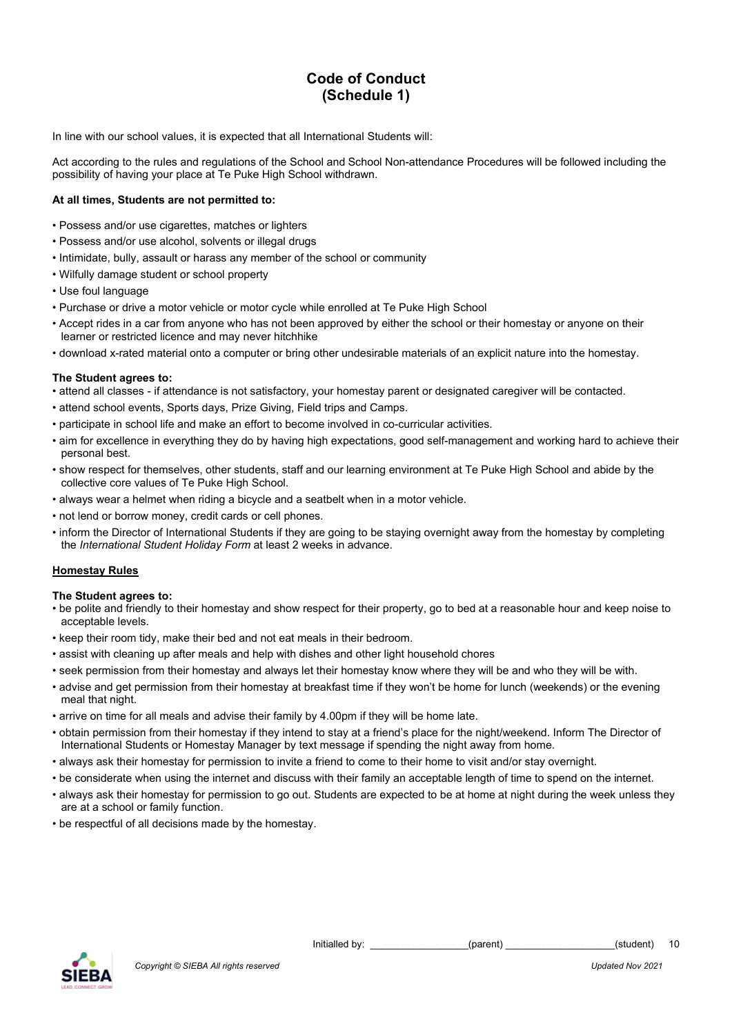# **Code of Conduct (Schedule 1)**

In line with our school values, it is expected that all International Students will:

Act according to the rules and regulations of the School and School Non-attendance Procedures will be followed including the possibility of having your place at Te Puke High School withdrawn.

## **At all times, Students are not permitted to:**

- Possess and/or use cigarettes, matches or lighters
- Possess and/or use alcohol, solvents or illegal drugs
- Intimidate, bully, assault or harass any member of the school or community
- Wilfully damage student or school property
- Use foul language
- Purchase or drive a motor vehicle or motor cycle while enrolled at Te Puke High School
- Accept rides in a car from anyone who has not been approved by either the school or their homestay or anyone on their learner or restricted licence and may never hitchhike
- download x-rated material onto a computer or bring other undesirable materials of an explicit nature into the homestay.

# **The Student agrees to:**

- attend all classes if attendance is not satisfactory, your homestay parent or designated caregiver will be contacted.
- attend school events, Sports days, Prize Giving, Field trips and Camps.
- participate in school life and make an effort to become involved in co-curricular activities.
- aim for excellence in everything they do by having high expectations, good self-management and working hard to achieve their personal best.
- show respect for themselves, other students, staff and our learning environment at Te Puke High School and abide by the collective core values of Te Puke High School.
- always wear a helmet when riding a bicycle and a seatbelt when in a motor vehicle.
- not lend or borrow money, credit cards or cell phones.
- inform the Director of International Students if they are going to be staying overnight away from the homestay by completing the *International Student Holiday Form* at least 2 weeks in advance.

# **Homestay Rules**

## **The Student agrees to:**

- be polite and friendly to their homestay and show respect for their property, go to bed at a reasonable hour and keep noise to acceptable levels.
- keep their room tidy, make their bed and not eat meals in their bedroom.
- assist with cleaning up after meals and help with dishes and other light household chores
- seek permission from their homestay and always let their homestay know where they will be and who they will be with.
- advise and get permission from their homestay at breakfast time if they won't be home for lunch (weekends) or the evening meal that night.
- arrive on time for all meals and advise their family by 4.00pm if they will be home late.
- obtain permission from their homestay if they intend to stay at a friend's place for the night/weekend. Inform The Director of International Students or Homestay Manager by text message if spending the night away from home.
- always ask their homestay for permission to invite a friend to come to their home to visit and/or stay overnight.
- be considerate when using the internet and discuss with their family an acceptable length of time to spend on the internet.
- always ask their homestay for permission to go out. Students are expected to be at home at night during the week unless they are at a school or family function.
- be respectful of all decisions made by the homestay.

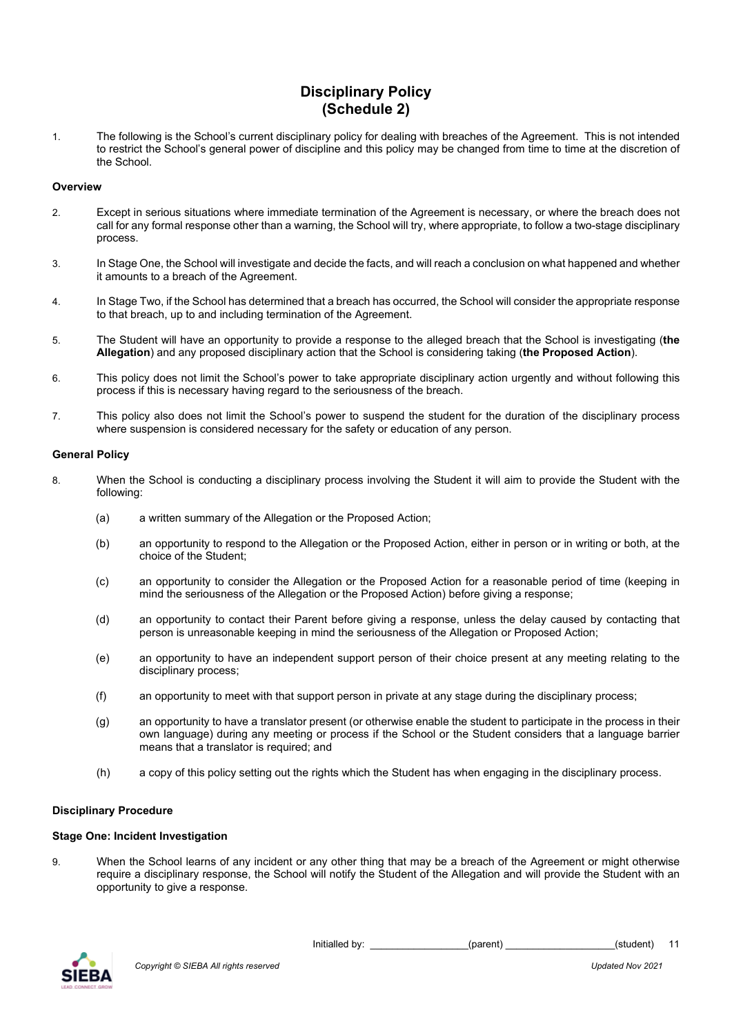# **Disciplinary Policy (Schedule 2)**

1. The following is the School's current disciplinary policy for dealing with breaches of the Agreement. This is not intended to restrict the School's general power of discipline and this policy may be changed from time to time at the discretion of the School.

## **Overview**

- 2. Except in serious situations where immediate termination of the Agreement is necessary, or where the breach does not call for any formal response other than a warning, the School will try, where appropriate, to follow a two-stage disciplinary process.
- 3. In Stage One, the School will investigate and decide the facts, and will reach a conclusion on what happened and whether it amounts to a breach of the Agreement.
- 4. In Stage Two, if the School has determined that a breach has occurred, the School will consider the appropriate response to that breach, up to and including termination of the Agreement.
- 5. The Student will have an opportunity to provide a response to the alleged breach that the School is investigating (**the Allegation**) and any proposed disciplinary action that the School is considering taking (**the Proposed Action**).
- 6. This policy does not limit the School's power to take appropriate disciplinary action urgently and without following this process if this is necessary having regard to the seriousness of the breach.
- 7. This policy also does not limit the School's power to suspend the student for the duration of the disciplinary process where suspension is considered necessary for the safety or education of any person.

#### **General Policy**

- 8. When the School is conducting a disciplinary process involving the Student it will aim to provide the Student with the following:
	- (a) a written summary of the Allegation or the Proposed Action;
	- (b) an opportunity to respond to the Allegation or the Proposed Action, either in person or in writing or both, at the choice of the Student;
	- (c) an opportunity to consider the Allegation or the Proposed Action for a reasonable period of time (keeping in mind the seriousness of the Allegation or the Proposed Action) before giving a response;
	- (d) an opportunity to contact their Parent before giving a response, unless the delay caused by contacting that person is unreasonable keeping in mind the seriousness of the Allegation or Proposed Action;
	- (e) an opportunity to have an independent support person of their choice present at any meeting relating to the disciplinary process;
	- (f) an opportunity to meet with that support person in private at any stage during the disciplinary process;
	- (g) an opportunity to have a translator present (or otherwise enable the student to participate in the process in their own language) during any meeting or process if the School or the Student considers that a language barrier means that a translator is required; and
	- (h) a copy of this policy setting out the rights which the Student has when engaging in the disciplinary process.

## **Disciplinary Procedure**

#### **Stage One: Incident Investigation**

9. When the School learns of any incident or any other thing that may be a breach of the Agreement or might otherwise require a disciplinary response, the School will notify the Student of the Allegation and will provide the Student with an opportunity to give a response.

Initialled by:  $(parent)$  (parent) (student)

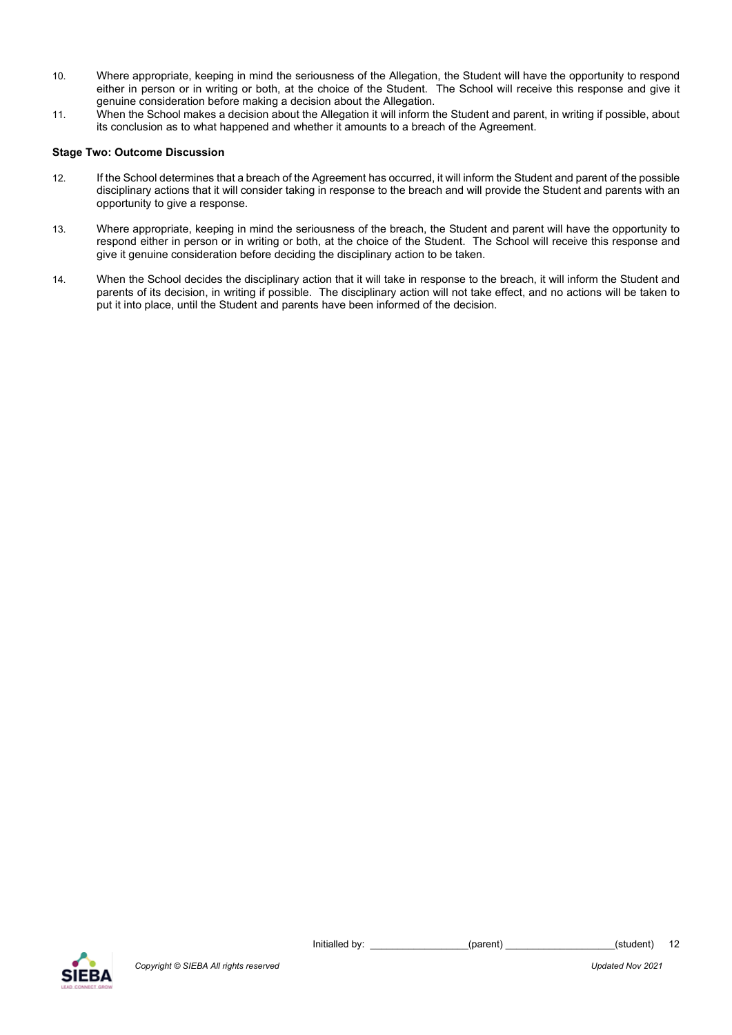- 10. Where appropriate, keeping in mind the seriousness of the Allegation, the Student will have the opportunity to respond either in person or in writing or both, at the choice of the Student. The School will receive this response and give it genuine consideration before making a decision about the Allegation.
- 11. When the School makes a decision about the Allegation it will inform the Student and parent, in writing if possible, about its conclusion as to what happened and whether it amounts to a breach of the Agreement.

#### **Stage Two: Outcome Discussion**

- 12. If the School determines that a breach of the Agreement has occurred, it will inform the Student and parent of the possible disciplinary actions that it will consider taking in response to the breach and will provide the Student and parents with an opportunity to give a response.
- 13. Where appropriate, keeping in mind the seriousness of the breach, the Student and parent will have the opportunity to respond either in person or in writing or both, at the choice of the Student. The School will receive this response and give it genuine consideration before deciding the disciplinary action to be taken.
- 14. When the School decides the disciplinary action that it will take in response to the breach, it will inform the Student and parents of its decision, in writing if possible. The disciplinary action will not take effect, and no actions will be taken to put it into place, until the Student and parents have been informed of the decision.

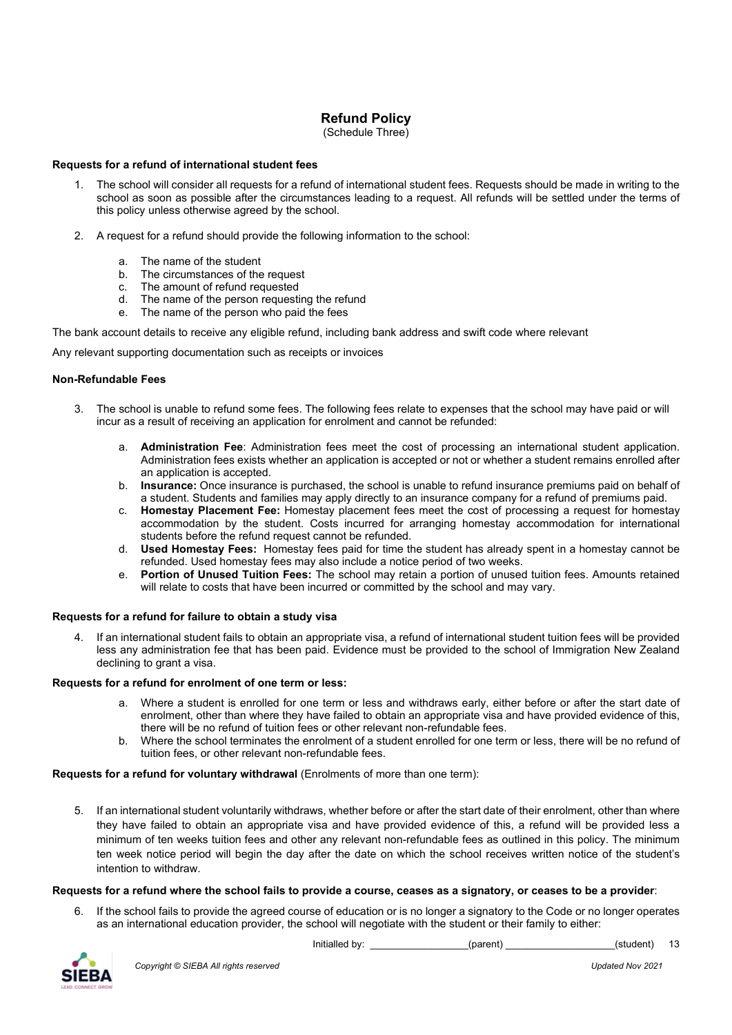# **Refund Policy**

(Schedule Three)

#### **Requests for a refund of international student fees**

- 1. The school will consider all requests for a refund of international student fees. Requests should be made in writing to the school as soon as possible after the circumstances leading to a request. All refunds will be settled under the terms of this policy unless otherwise agreed by the school.
- 2. A request for a refund should provide the following information to the school:
	- a. The name of the student<br>b. The circumstances of the
	- The circumstances of the request
	- c. The amount of refund requested
	- d. The name of the person requesting the refund
	- e. The name of the person who paid the fees

The bank account details to receive any eligible refund, including bank address and swift code where relevant

Any relevant supporting documentation such as receipts or invoices

#### **Non-Refundable Fees**

- 3. The school is unable to refund some fees. The following fees relate to expenses that the school may have paid or will incur as a result of receiving an application for enrolment and cannot be refunded:
	- a. **Administration Fee**: Administration fees meet the cost of processing an international student application. Administration fees exists whether an application is accepted or not or whether a student remains enrolled after an application is accepted.
	- b. **Insurance:** Once insurance is purchased, the school is unable to refund insurance premiums paid on behalf of a student. Students and families may apply directly to an insurance company for a refund of premiums paid.
	- c. **Homestay Placement Fee:** Homestay placement fees meet the cost of processing a request for homestay accommodation by the student. Costs incurred for arranging homestay accommodation for international students before the refund request cannot be refunded.
	- d. **Used Homestay Fees:** Homestay fees paid for time the student has already spent in a homestay cannot be refunded. Used homestay fees may also include a notice period of two weeks.
	- e. **Portion of Unused Tuition Fees:** The school may retain a portion of unused tuition fees. Amounts retained will relate to costs that have been incurred or committed by the school and may vary.

#### **Requests for a refund for failure to obtain a study visa**

4. If an international student fails to obtain an appropriate visa, a refund of international student tuition fees will be provided less any administration fee that has been paid. Evidence must be provided to the school of Immigration New Zealand declining to grant a visa.

#### **Requests for a refund for enrolment of one term or less:**

- a. Where a student is enrolled for one term or less and withdraws early, either before or after the start date of enrolment, other than where they have failed to obtain an appropriate visa and have provided evidence of this, there will be no refund of tuition fees or other relevant non-refundable fees.
- b. Where the school terminates the enrolment of a student enrolled for one term or less, there will be no refund of tuition fees, or other relevant non-refundable fees.

#### **Requests for a refund for voluntary withdrawal** (Enrolments of more than one term):

5. If an international student voluntarily withdraws, whether before or after the start date of their enrolment, other than where they have failed to obtain an appropriate visa and have provided evidence of this, a refund will be provided less a minimum of ten weeks tuition fees and other any relevant non-refundable fees as outlined in this policy. The minimum ten week notice period will begin the day after the date on which the school receives written notice of the student's intention to withdraw.

#### **Requests for a refund where the school fails to provide a course, ceases as a signatory, or ceases to be a provider**:

6. If the school fails to provide the agreed course of education or is no longer a signatory to the Code or no longer operates as an international education provider, the school will negotiate with the student or their family to either:

Initialled by:  $(parent)$  (parent)  $(student)$ 

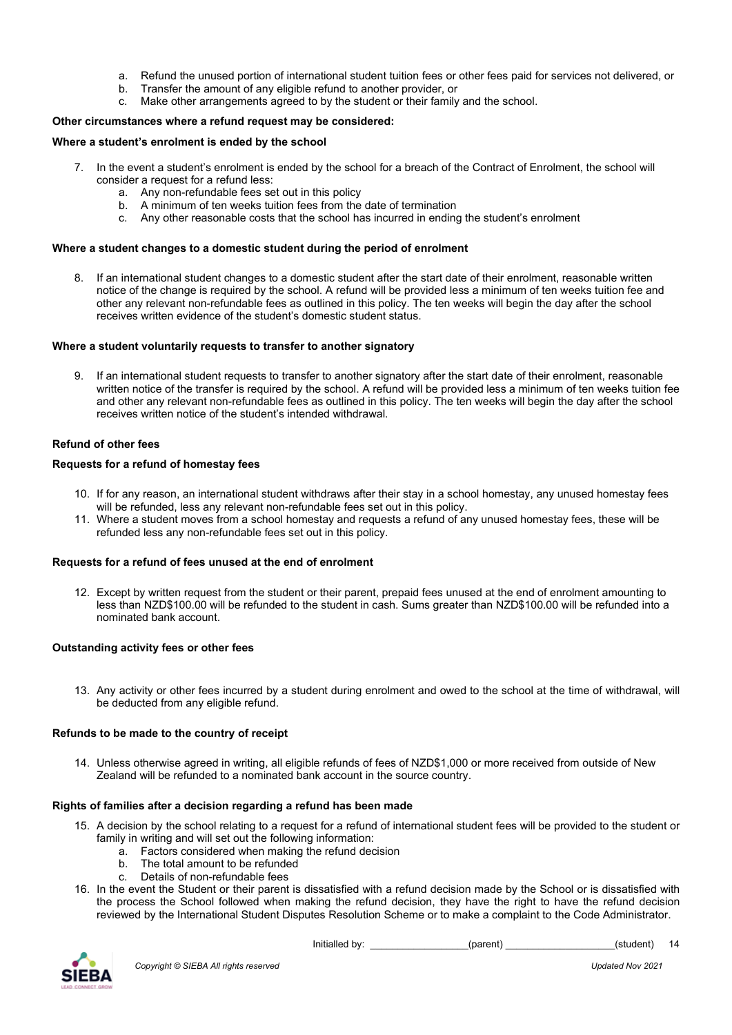- a. Refund the unused portion of international student tuition fees or other fees paid for services not delivered, or
- b. Transfer the amount of any eligible refund to another provider, or
- c. Make other arrangements agreed to by the student or their family and the school.

#### **Other circumstances where a refund request may be considered:**

## **Where a student's enrolment is ended by the school**

- 7. In the event a student's enrolment is ended by the school for a breach of the Contract of Enrolment, the school will consider a request for a refund less:
	- a. Any non-refundable fees set out in this policy
		- b. A minimum of ten weeks tuition fees from the date of termination
	- c. Any other reasonable costs that the school has incurred in ending the student's enrolment

#### **Where a student changes to a domestic student during the period of enrolment**

8. If an international student changes to a domestic student after the start date of their enrolment, reasonable written notice of the change is required by the school. A refund will be provided less a minimum of ten weeks tuition fee and other any relevant non-refundable fees as outlined in this policy. The ten weeks will begin the day after the school receives written evidence of the student's domestic student status.

#### **Where a student voluntarily requests to transfer to another signatory**

9. If an international student requests to transfer to another signatory after the start date of their enrolment, reasonable written notice of the transfer is required by the school. A refund will be provided less a minimum of ten weeks tuition fee and other any relevant non-refundable fees as outlined in this policy. The ten weeks will begin the day after the school receives written notice of the student's intended withdrawal.

## **Refund of other fees**

## **Requests for a refund of homestay fees**

- 10. If for any reason, an international student withdraws after their stay in a school homestay, any unused homestay fees will be refunded, less any relevant non-refundable fees set out in this policy.
- 11. Where a student moves from a school homestay and requests a refund of any unused homestay fees, these will be refunded less any non-refundable fees set out in this policy.

#### **Requests for a refund of fees unused at the end of enrolment**

12. Except by written request from the student or their parent, prepaid fees unused at the end of enrolment amounting to less than NZD\$100.00 will be refunded to the student in cash. Sums greater than NZD\$100.00 will be refunded into a nominated bank account.

#### **Outstanding activity fees or other fees**

13. Any activity or other fees incurred by a student during enrolment and owed to the school at the time of withdrawal, will be deducted from any eligible refund.

#### **Refunds to be made to the country of receipt**

14. Unless otherwise agreed in writing, all eligible refunds of fees of NZD\$1,000 or more received from outside of New Zealand will be refunded to a nominated bank account in the source country.

## **Rights of families after a decision regarding a refund has been made**

- 15. A decision by the school relating to a request for a refund of international student fees will be provided to the student or family in writing and will set out the following information:
	- a. Factors considered when making the refund decision
	- b. The total amount to be refunded<br>c. Details of non-refundable fees
	- Details of non-refundable fees
- 16. In the event the Student or their parent is dissatisfied with a refund decision made by the School or is dissatisfied with the process the School followed when making the refund decision, they have the right to have the refund decision reviewed by the International Student Disputes Resolution Scheme or to make a complaint to the Code Administrator.



 $Initialled by:$   $\qquad \qquad \qquad \qquad (parent) \qquad \qquad$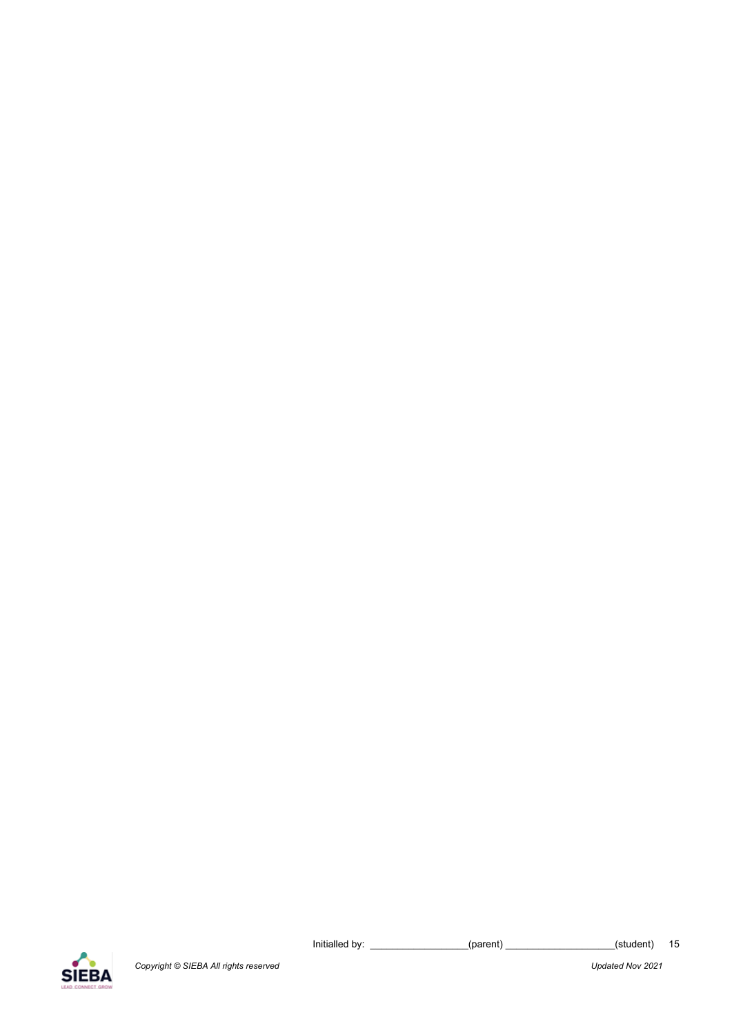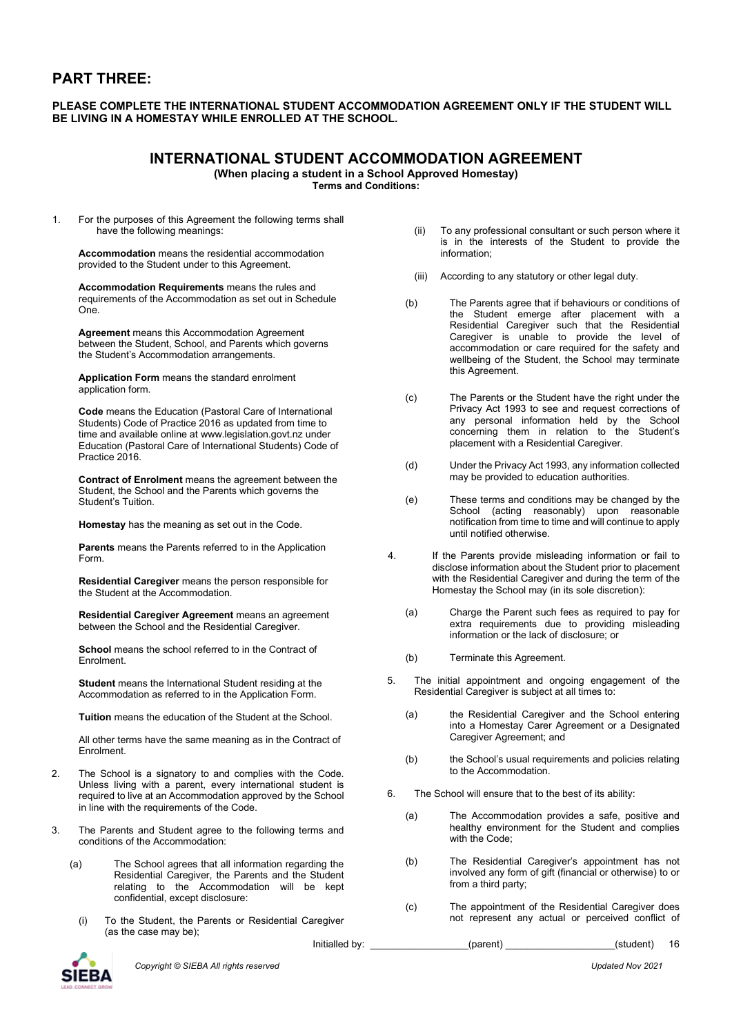# **PART THREE:**

## **PLEASE COMPLETE THE INTERNATIONAL STUDENT ACCOMMODATION AGREEMENT ONLY IF THE STUDENT WILL BE LIVING IN A HOMESTAY WHILE ENROLLED AT THE SCHOOL.**

# **INTERNATIONAL STUDENT ACCOMMODATION AGREEMENT (When placing a student in a School Approved Homestay)**

**Terms and Conditions:**

1. For the purposes of this Agreement the following terms shall have the following meanings:

**Accommodation** means the residential accommodation provided to the Student under to this Agreement.

**Accommodation Requirements** means the rules and requirements of the Accommodation as set out in Schedule One.

**Agreement** means this Accommodation Agreement between the Student, School, and Parents which governs the Student's Accommodation arrangements.

**Application Form** means the standard enrolment application form.

**Code** means the Education (Pastoral Care of International Students) Code of Practice 2016 as updated from time to time and available online at www.legislation.govt.nz under Education (Pastoral Care of International Students) Code of Practice 2016.

**Contract of Enrolment** means the agreement between the Student, the School and the Parents which governs the Student's Tuition.

**Homestay** has the meaning as set out in the Code.

**Parents** means the Parents referred to in the Application Form.

**Residential Caregiver** means the person responsible for the Student at the Accommodation.

**Residential Caregiver Agreement** means an agreement between the School and the Residential Caregiver.

**School** means the school referred to in the Contract of Enrolment.

**Student** means the International Student residing at the Accommodation as referred to in the Application Form.

**Tuition** means the education of the Student at the School.

All other terms have the same meaning as in the Contract of Enrolment.

- 2. The School is a signatory to and complies with the Code. Unless living with a parent, every international student is required to live at an Accommodation approved by the School in line with the requirements of the Code.
- 3. The Parents and Student agree to the following terms and conditions of the Accommodation:
	- (a) The School agrees that all information regarding the Residential Caregiver, the Parents and the Student relating to the Accommodation will be kept confidential, except disclosure:
		- (i) To the Student, the Parents or Residential Caregiver (as the case may be);

Initialled by: \_\_\_\_\_\_\_\_\_\_\_\_\_\_\_\_\_\_(parent) \_\_\_\_\_\_\_\_\_\_\_\_\_\_\_\_\_\_\_\_(student)

- (ii) To any professional consultant or such person where it is in the interests of the Student to provide the information;
- (iii) According to any statutory or other legal duty.
- (b) The Parents agree that if behaviours or conditions of the Student emerge after placement with a Residential Caregiver such that the Residential Caregiver is unable to provide the level of accommodation or care required for the safety and wellbeing of the Student, the School may terminate this Agreement.
- (c) The Parents or the Student have the right under the Privacy Act 1993 to see and request corrections of any personal information held by the School concerning them in relation to the Student's placement with a Residential Caregiver.
- (d) Under the Privacy Act 1993, any information collected may be provided to education authorities.
- (e) These terms and conditions may be changed by the School (acting reasonably) upon reasonable notification from time to time and will continue to apply until notified otherwise.
- 4. If the Parents provide misleading information or fail to disclose information about the Student prior to placement with the Residential Caregiver and during the term of the Homestay the School may (in its sole discretion):
	- (a) Charge the Parent such fees as required to pay for extra requirements due to providing misleading information or the lack of disclosure; or
	- (b) Terminate this Agreement.
- 5. The initial appointment and ongoing engagement of the Residential Caregiver is subject at all times to:
	- (a) the Residential Caregiver and the School entering into a Homestay Carer Agreement or a Designated Caregiver Agreement; and
	- (b) the School's usual requirements and policies relating to the Accommodation.
- 6. The School will ensure that to the best of its ability:
	- (a) The Accommodation provides a safe, positive and healthy environment for the Student and complies with the Code;
	- (b) The Residential Caregiver's appointment has not involved any form of gift (financial or otherwise) to or from a third party:
	- (c) The appointment of the Residential Caregiver does not represent any actual or perceived conflict of



(student) 16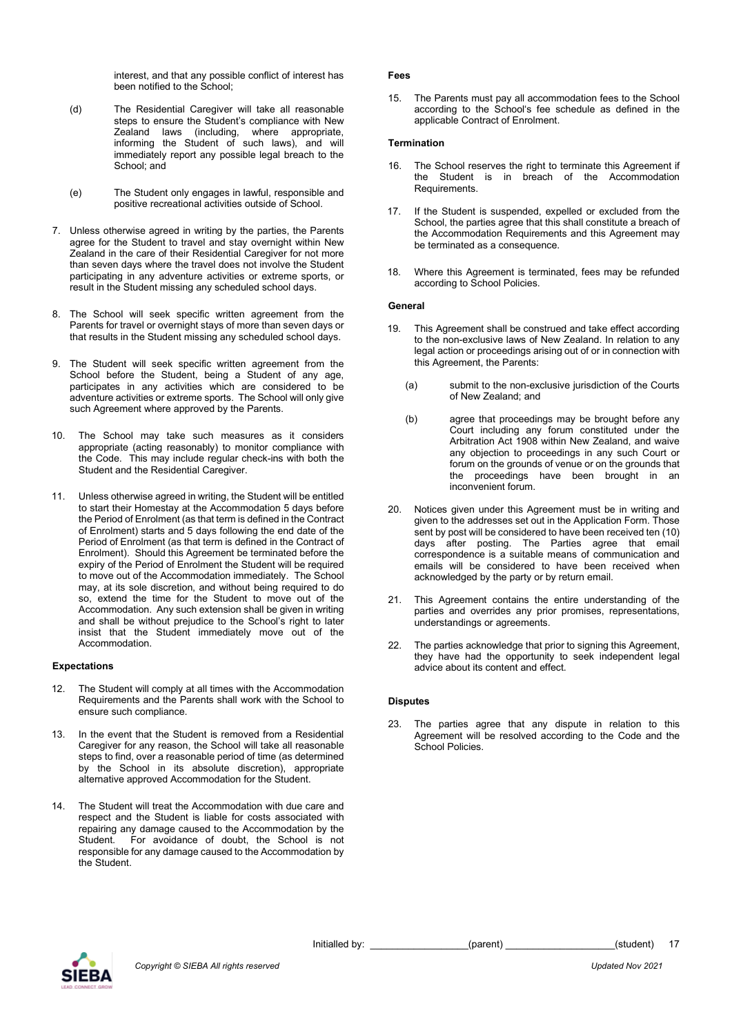interest, and that any possible conflict of interest has been notified to the School;

- (d) The Residential Caregiver will take all reasonable steps to ensure the Student's compliance with New Zealand laws (including, where appropriate, informing the Student of such laws), and will immediately report any possible legal breach to the School; and
- (e) The Student only engages in lawful, responsible and positive recreational activities outside of School.
- 7. Unless otherwise agreed in writing by the parties, the Parents agree for the Student to travel and stay overnight within New Zealand in the care of their Residential Caregiver for not more than seven days where the travel does not involve the Student participating in any adventure activities or extreme sports, or result in the Student missing any scheduled school days.
- 8. The School will seek specific written agreement from the Parents for travel or overnight stays of more than seven days or that results in the Student missing any scheduled school days.
- 9. The Student will seek specific written agreement from the School before the Student, being a Student of any age, participates in any activities which are considered to be adventure activities or extreme sports. The School will only give such Agreement where approved by the Parents.
- 10. The School may take such measures as it considers appropriate (acting reasonably) to monitor compliance with the Code. This may include regular check-ins with both the Student and the Residential Caregiver.
- 11. Unless otherwise agreed in writing, the Student will be entitled to start their Homestay at the Accommodation 5 days before the Period of Enrolment (as that term is defined in the Contract of Enrolment) starts and 5 days following the end date of the Period of Enrolment (as that term is defined in the Contract of Enrolment). Should this Agreement be terminated before the expiry of the Period of Enrolment the Student will be required to move out of the Accommodation immediately. The School may, at its sole discretion, and without being required to do so, extend the time for the Student to move out of the Accommodation. Any such extension shall be given in writing and shall be without prejudice to the School's right to later insist that the Student immediately move out of the Accommodation.

#### **Expectations**

- 12. The Student will comply at all times with the Accommodation Requirements and the Parents shall work with the School to ensure such compliance.
- 13. In the event that the Student is removed from a Residential Caregiver for any reason, the School will take all reasonable steps to find, over a reasonable period of time (as determined by the School in its absolute discretion), appropriate alternative approved Accommodation for the Student.
- 14. The Student will treat the Accommodation with due care and respect and the Student is liable for costs associated with repairing any damage caused to the Accommodation by the Student. For avoidance of doubt, the School is not responsible for any damage caused to the Accommodation by the Student.

#### **Fees**

15. The Parents must pay all accommodation fees to the School according to the School's fee schedule as defined in the applicable Contract of Enrolment.

#### **Termination**

- 16. The School reserves the right to terminate this Agreement if the Student is in breach of the Accommodation **Requirements**
- 17. If the Student is suspended, expelled or excluded from the School, the parties agree that this shall constitute a breach of the Accommodation Requirements and this Agreement may be terminated as a consequence.
- 18. Where this Agreement is terminated, fees may be refunded according to School Policies.

#### **General**

- 19. This Agreement shall be construed and take effect according to the non-exclusive laws of New Zealand. In relation to any legal action or proceedings arising out of or in connection with this Agreement, the Parents:
	- (a) submit to the non-exclusive jurisdiction of the Courts of New Zealand; and
	- (b) agree that proceedings may be brought before any Court including any forum constituted under the Arbitration Act 1908 within New Zealand, and waive any objection to proceedings in any such Court or forum on the grounds of venue or on the grounds that the proceedings have been brought in an inconvenient forum.
- 20. Notices given under this Agreement must be in writing and given to the addresses set out in the Application Form. Those sent by post will be considered to have been received ten (10) days after posting. The Parties agree that email correspondence is a suitable means of communication and emails will be considered to have been received when acknowledged by the party or by return email.
- 21. This Agreement contains the entire understanding of the parties and overrides any prior promises, representations, understandings or agreements.
- 22. The parties acknowledge that prior to signing this Agreement, they have had the opportunity to seek independent legal advice about its content and effect.

#### **Disputes**

23. The parties agree that any dispute in relation to this Agreement will be resolved according to the Code and the School Policies.

Initialled by:  $(parent)$  (parent)  $(student)$ 

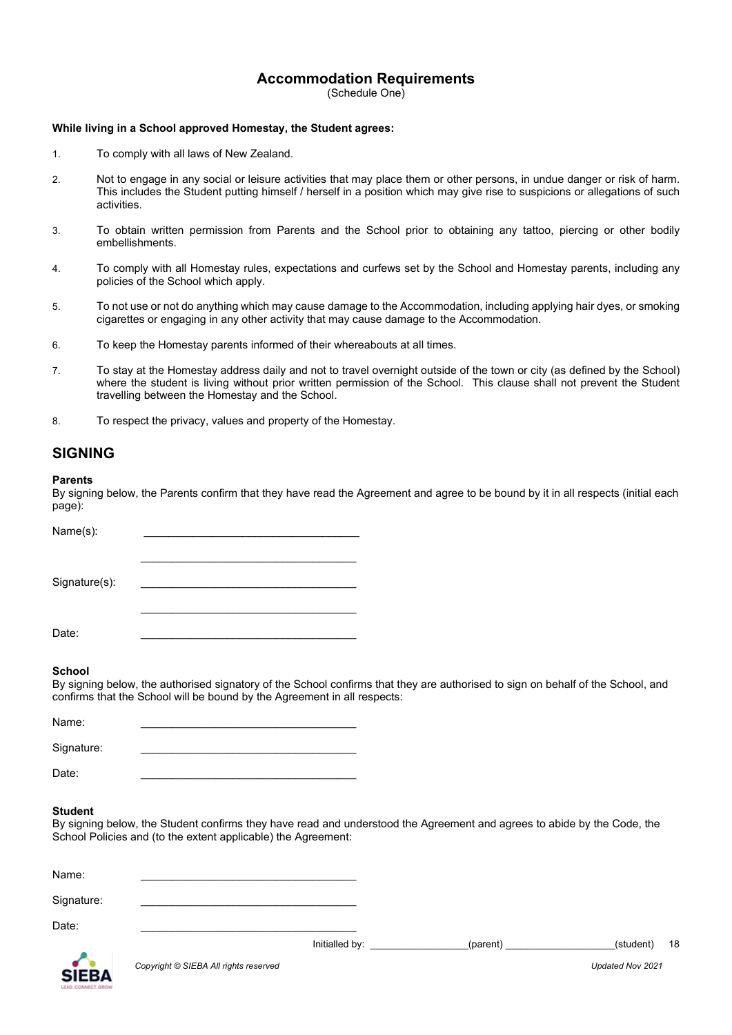# **Accommodation Requirements**

(Schedule One)

#### **While living in a School approved Homestay, the Student agrees:**

- 1. To comply with all laws of New Zealand.
- 2. Not to engage in any social or leisure activities that may place them or other persons, in undue danger or risk of harm. This includes the Student putting himself / herself in a position which may give rise to suspicions or allegations of such activities.
- 3. To obtain written permission from Parents and the School prior to obtaining any tattoo, piercing or other bodily embellishments.
- 4. To comply with all Homestay rules, expectations and curfews set by the School and Homestay parents, including any policies of the School which apply.
- 5. To not use or not do anything which may cause damage to the Accommodation, including applying hair dyes, or smoking cigarettes or engaging in any other activity that may cause damage to the Accommodation.
- 6. To keep the Homestay parents informed of their whereabouts at all times.
- 7. To stay at the Homestay address daily and not to travel overnight outside of the town or city (as defined by the School) where the student is living without prior written permission of the School. This clause shall not prevent the Student travelling between the Homestay and the School.
- 8. To respect the privacy, values and property of the Homestay.

# **SIGNING**

#### **Parents**

By signing below, the Parents confirm that they have read the Agreement and agree to be bound by it in all respects (initial each page):

| Name(s):      |  |
|---------------|--|
|               |  |
|               |  |
|               |  |
| Signature(s): |  |
|               |  |
|               |  |
|               |  |
| Date:         |  |

#### **School**

By signing below, the authorised signatory of the School confirms that they are authorised to sign on behalf of the School, and confirms that the School will be bound by the Agreement in all respects:

| Name:      |  |
|------------|--|
| Signature: |  |
| Date:      |  |

#### **Student**

By signing below, the Student confirms they have read and understood the Agreement and agrees to abide by the Code, the School Policies and (to the extent applicable) the Agreement:

|            | Initialled by: | (parent) | (student) |
|------------|----------------|----------|-----------|
| Date:      |                |          |           |
| Signature: |                |          |           |
| Name:      |                |          |           |

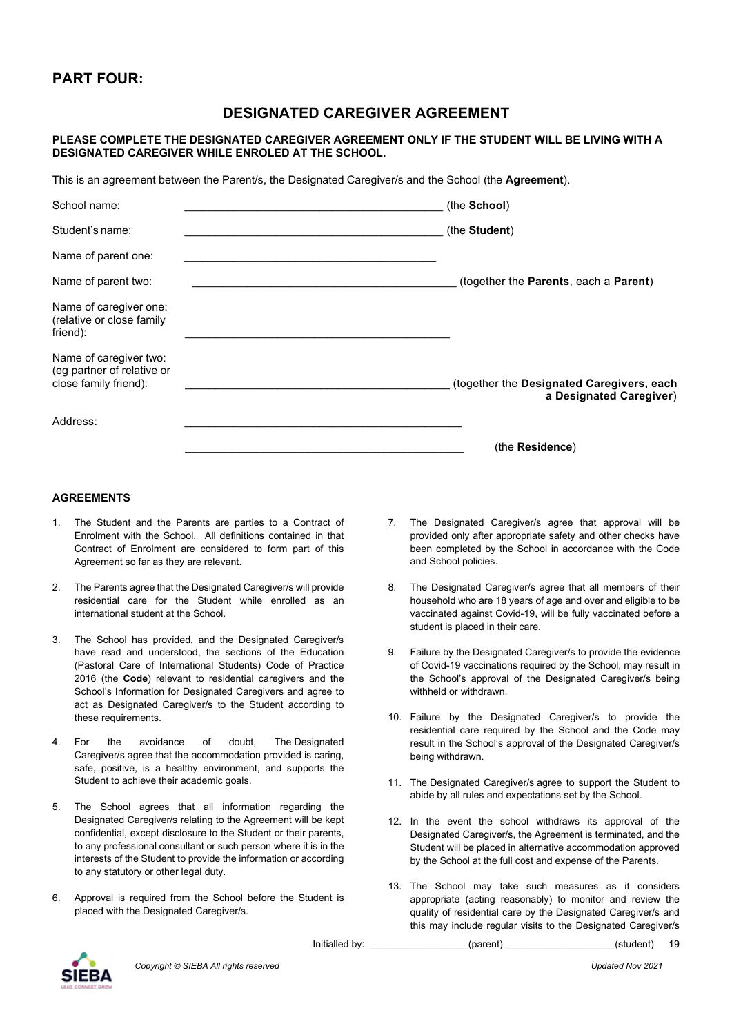# **PART FOUR:**

# **DESIGNATED CAREGIVER AGREEMENT**

## **PLEASE COMPLETE THE DESIGNATED CAREGIVER AGREEMENT ONLY IF THE STUDENT WILL BE LIVING WITH A DESIGNATED CAREGIVER WHILE ENROLED AT THE SCHOOL.**

This is an agreement between the Parent/s, the Designated Caregiver/s and the School (the **Agreement**).

| School name:                                                                  | (the School)                                                         |
|-------------------------------------------------------------------------------|----------------------------------------------------------------------|
| Student's name:                                                               | (the Student)                                                        |
| Name of parent one:                                                           |                                                                      |
| Name of parent two:                                                           | (together the Parents, each a Parent)                                |
| Name of caregiver one:<br>(relative or close family<br>friend):               |                                                                      |
| Name of caregiver two:<br>(eg partner of relative or<br>close family friend): | (together the Designated Caregivers, each<br>a Designated Caregiver) |
| Address:                                                                      |                                                                      |
|                                                                               | (the Residence)                                                      |

#### **AGREEMENTS**

- 1. The Student and the Parents are parties to a Contract of Enrolment with the School. All definitions contained in that Contract of Enrolment are considered to form part of this Agreement so far as they are relevant.
- 2. The Parents agree that the Designated Caregiver/s will provide residential care for the Student while enrolled as an international student at the School.
- 3. The School has provided, and the Designated Caregiver/s have read and understood, the sections of the Education (Pastoral Care of International Students) Code of Practice 2016 (the **Code**) relevant to residential caregivers and the School's Information for Designated Caregivers and agree to act as Designated Caregiver/s to the Student according to these requirements.
- 4. For the avoidance of doubt, The Designated Caregiver/s agree that the accommodation provided is caring, safe, positive, is a healthy environment, and supports the Student to achieve their academic goals.
- 5. The School agrees that all information regarding the Designated Caregiver/s relating to the Agreement will be kept confidential, except disclosure to the Student or their parents, to any professional consultant or such person where it is in the interests of the Student to provide the information or according to any statutory or other legal duty.
- 6. Approval is required from the School before the Student is placed with the Designated Caregiver/s.
- 7. The Designated Caregiver/s agree that approval will be provided only after appropriate safety and other checks have been completed by the School in accordance with the Code and School policies.
- 8. The Designated Caregiver/s agree that all members of their household who are 18 years of age and over and eligible to be vaccinated against Covid-19, will be fully vaccinated before a student is placed in their care.
- 9. Failure by the Designated Caregiver/s to provide the evidence of Covid-19 vaccinations required by the School, may result in the School's approval of the Designated Caregiver/s being withheld or withdrawn.
- 10. Failure by the Designated Caregiver/s to provide the residential care required by the School and the Code may result in the School's approval of the Designated Caregiver/s being withdrawn.
- 11. The Designated Caregiver/s agree to support the Student to abide by all rules and expectations set by the School.
- 12. In the event the school withdraws its approval of the Designated Caregiver/s, the Agreement is terminated, and the Student will be placed in alternative accommodation approved by the School at the full cost and expense of the Parents.
- 13. The School may take such measures as it considers appropriate (acting reasonably) to monitor and review the quality of residential care by the Designated Caregiver/s and this may include regular visits to the Designated Caregiver/s